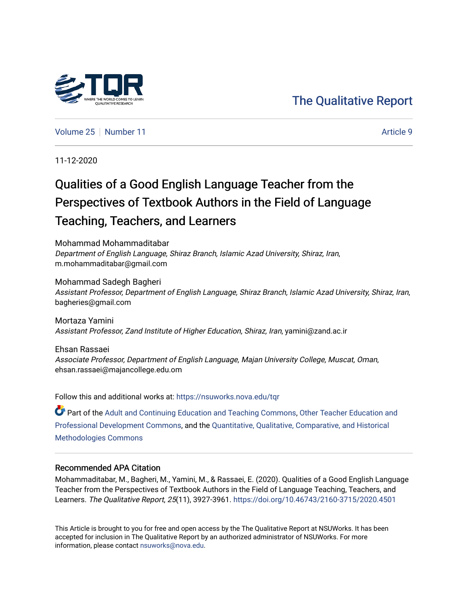## [The Qualitative Report](https://nsuworks.nova.edu/tqr)

[Volume 25](https://nsuworks.nova.edu/tqr/vol25) [Number 11](https://nsuworks.nova.edu/tqr/vol25/iss11) Article 9

11-12-2020

# Qualities of a Good English Language Teacher from the Perspectives of Textbook Authors in the Field of Language Teaching, Teachers, and Learners

Mohammad Mohammaditabar Department of English Language, Shiraz Branch, Islamic Azad University, Shiraz, Iran, m.mohammaditabar@gmail.com

Mohammad Sadegh Bagheri Assistant Professor, Department of English Language, Shiraz Branch, Islamic Azad University, Shiraz, Iran, bagheries@gmail.com

Mortaza Yamini Assistant Professor, Zand Institute of Higher Education, Shiraz, Iran, yamini@zand.ac.ir

Ehsan Rassaei Associate Professor, Department of English Language, Majan University College, Muscat, Oman, ehsan.rassaei@majancollege.edu.om

Follow this and additional works at: [https://nsuworks.nova.edu/tqr](https://nsuworks.nova.edu/tqr?utm_source=nsuworks.nova.edu%2Ftqr%2Fvol25%2Fiss11%2F9&utm_medium=PDF&utm_campaign=PDFCoverPages)  Part of the [Adult and Continuing Education and Teaching Commons,](http://network.bepress.com/hgg/discipline/804?utm_source=nsuworks.nova.edu%2Ftqr%2Fvol25%2Fiss11%2F9&utm_medium=PDF&utm_campaign=PDFCoverPages) [Other Teacher Education and](http://network.bepress.com/hgg/discipline/810?utm_source=nsuworks.nova.edu%2Ftqr%2Fvol25%2Fiss11%2F9&utm_medium=PDF&utm_campaign=PDFCoverPages) [Professional Development Commons](http://network.bepress.com/hgg/discipline/810?utm_source=nsuworks.nova.edu%2Ftqr%2Fvol25%2Fiss11%2F9&utm_medium=PDF&utm_campaign=PDFCoverPages), and the [Quantitative, Qualitative, Comparative, and Historical](http://network.bepress.com/hgg/discipline/423?utm_source=nsuworks.nova.edu%2Ftqr%2Fvol25%2Fiss11%2F9&utm_medium=PDF&utm_campaign=PDFCoverPages) [Methodologies Commons](http://network.bepress.com/hgg/discipline/423?utm_source=nsuworks.nova.edu%2Ftqr%2Fvol25%2Fiss11%2F9&utm_medium=PDF&utm_campaign=PDFCoverPages) 

#### Recommended APA Citation

Mohammaditabar, M., Bagheri, M., Yamini, M., & Rassaei, E. (2020). Qualities of a Good English Language Teacher from the Perspectives of Textbook Authors in the Field of Language Teaching, Teachers, and Learners. The Qualitative Report, 25(11), 3927-3961. <https://doi.org/10.46743/2160-3715/2020.4501>

This Article is brought to you for free and open access by the The Qualitative Report at NSUWorks. It has been accepted for inclusion in The Qualitative Report by an authorized administrator of NSUWorks. For more information, please contact [nsuworks@nova.edu.](mailto:nsuworks@nova.edu)

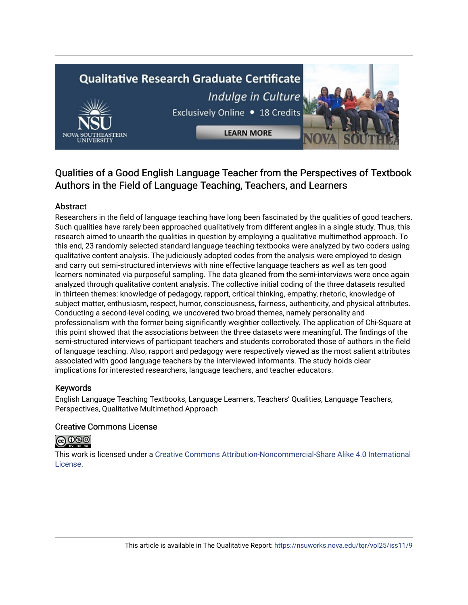# **Qualitative Research Graduate Certificate** Indulge in Culture Exclusively Online . 18 Credits



**LEARN MORE** 

## Qualities of a Good English Language Teacher from the Perspectives of Textbook Authors in the Field of Language Teaching, Teachers, and Learners

## Abstract

Researchers in the field of language teaching have long been fascinated by the qualities of good teachers. Such qualities have rarely been approached qualitatively from different angles in a single study. Thus, this research aimed to unearth the qualities in question by employing a qualitative multimethod approach. To this end, 23 randomly selected standard language teaching textbooks were analyzed by two coders using qualitative content analysis. The judiciously adopted codes from the analysis were employed to design and carry out semi-structured interviews with nine effective language teachers as well as ten good learners nominated via purposeful sampling. The data gleaned from the semi-interviews were once again analyzed through qualitative content analysis. The collective initial coding of the three datasets resulted in thirteen themes: knowledge of pedagogy, rapport, critical thinking, empathy, rhetoric, knowledge of subject matter, enthusiasm, respect, humor, consciousness, fairness, authenticity, and physical attributes. Conducting a second-level coding, we uncovered two broad themes, namely personality and professionalism with the former being significantly weightier collectively. The application of Chi-Square at this point showed that the associations between the three datasets were meaningful. The findings of the semi-structured interviews of participant teachers and students corroborated those of authors in the field of language teaching. Also, rapport and pedagogy were respectively viewed as the most salient attributes associated with good language teachers by the interviewed informants. The study holds clear implications for interested researchers, language teachers, and teacher educators.

### Keywords

English Language Teaching Textbooks, Language Learners, Teachers' Qualities, Language Teachers, Perspectives, Qualitative Multimethod Approach

### Creative Commons License



This work is licensed under a [Creative Commons Attribution-Noncommercial-Share Alike 4.0 International](https://creativecommons.org/licenses/by-nc-sa/4.0/)  [License](https://creativecommons.org/licenses/by-nc-sa/4.0/).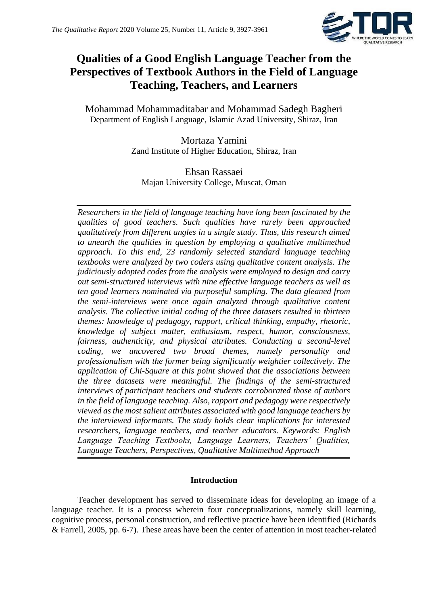

## **Qualities of a Good English Language Teacher from the Perspectives of Textbook Authors in the Field of Language Teaching, Teachers, and Learners**

Mohammad Mohammaditabar and Mohammad Sadegh Bagheri Department of English Language, Islamic Azad University, Shiraz, Iran

> Mortaza Yamini Zand Institute of Higher Education, Shiraz, Iran

Ehsan Rassaei Majan University College, Muscat, Oman

*Researchers in the field of language teaching have long been fascinated by the qualities of good teachers. Such qualities have rarely been approached qualitatively from different angles in a single study. Thus, this research aimed to unearth the qualities in question by employing a qualitative multimethod approach. To this end, 23 randomly selected standard language teaching textbooks were analyzed by two coders using qualitative content analysis. The judiciously adopted codes from the analysis were employed to design and carry out semi-structured interviews with nine effective language teachers as well as ten good learners nominated via purposeful sampling. The data gleaned from the semi-interviews were once again analyzed through qualitative content analysis. The collective initial coding of the three datasets resulted in thirteen themes: knowledge of pedagogy, rapport, critical thinking, empathy, rhetoric, knowledge of subject matter, enthusiasm, respect, humor, consciousness, fairness, authenticity, and physical attributes. Conducting a second-level coding, we uncovered two broad themes, namely personality and professionalism with the former being significantly weightier collectively. The application of Chi-Square at this point showed that the associations between the three datasets were meaningful. The findings of the semi-structured interviews of participant teachers and students corroborated those of authors in the field of language teaching. Also, rapport and pedagogy were respectively viewed as the most salient attributes associated with good language teachers by the interviewed informants. The study holds clear implications for interested researchers, language teachers, and teacher educators. Keywords: English Language Teaching Textbooks, Language Learners, Teachers' Qualities, Language Teachers, Perspectives, Qualitative Multimethod Approach* 

### **Introduction**

Teacher development has served to disseminate ideas for developing an image of a language teacher. It is a process wherein four conceptualizations, namely skill learning, cognitive process, personal construction, and reflective practice have been identified (Richards & Farrell, 2005, pp. 6-7). These areas have been the center of attention in most teacher-related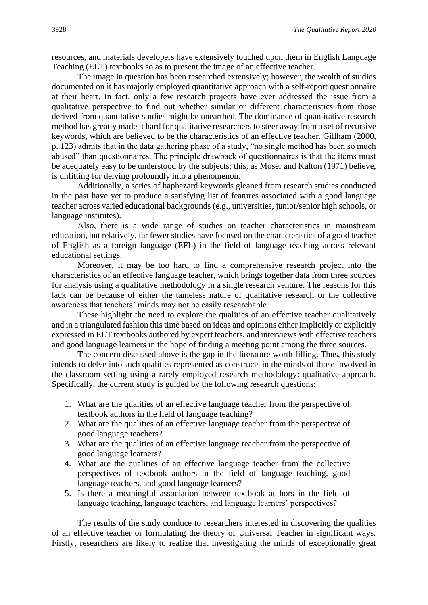resources, and materials developers have extensively touched upon them in English Language Teaching (ELT) textbooks so as to present the image of an effective teacher.

The image in question has been researched extensively; however, the wealth of studies documented on it has majorly employed quantitative approach with a self-report questionnaire at their heart. In fact, only a few research projects have ever addressed the issue from a qualitative perspective to find out whether similar or different characteristics from those derived from quantitative studies might be unearthed. The dominance of quantitative research method has greatly made it hard for qualitative researchers to steer away from a set of recursive keywords, which are believed to be the characteristics of an effective teacher. Gillham (2000, p. 123) admits that in the data gathering phase of a study, "no single method has been so much abused" than questionnaires. The principle drawback of questionnaires is that the items must be adequately easy to be understood by the subjects; this, as Moser and Kalton (1971) believe, is unfitting for delving profoundly into a phenomenon.

Additionally, a series of haphazard keywords gleaned from research studies conducted in the past have yet to produce a satisfying list of features associated with a good language teacher across varied educational backgrounds (e.g., universities, junior/senior high schools, or language institutes).

Also, there is a wide range of studies on teacher characteristics in mainstream education, but relatively, far fewer studies have focused on the characteristics of a good teacher of English as a foreign language (EFL) in the field of language teaching across relevant educational settings.

Moreover, it may be too hard to find a comprehensive research project into the characteristics of an effective language teacher, which brings together data from three sources for analysis using a qualitative methodology in a single research venture. The reasons for this lack can be because of either the tameless nature of qualitative research or the collective awareness that teachers' minds may not be easily researchable.

These highlight the need to explore the qualities of an effective teacher qualitatively and in a triangulated fashion this time based on ideas and opinions either implicitly or explicitly expressed in ELT textbooks authored by expert teachers, and interviews with effective teachers and good language learners in the hope of finding a meeting point among the three sources.

The concern discussed above is the gap in the literature worth filling. Thus, this study intends to delve into such qualities represented as constructs in the minds of those involved in the classroom setting using a rarely employed research methodology: qualitative approach. Specifically, the current study is guided by the following research questions:

- 1. What are the qualities of an effective language teacher from the perspective of textbook authors in the field of language teaching?
- 2. What are the qualities of an effective language teacher from the perspective of good language teachers?
- 3. What are the qualities of an effective language teacher from the perspective of good language learners?
- 4. What are the qualities of an effective language teacher from the collective perspectives of textbook authors in the field of language teaching, good language teachers, and good language learners?
- 5. Is there a meaningful association between textbook authors in the field of language teaching, language teachers, and language learners' perspectives?

The results of the study conduce to researchers interested in discovering the qualities of an effective teacher or formulating the theory of Universal Teacher in significant ways. Firstly, researchers are likely to realize that investigating the minds of exceptionally great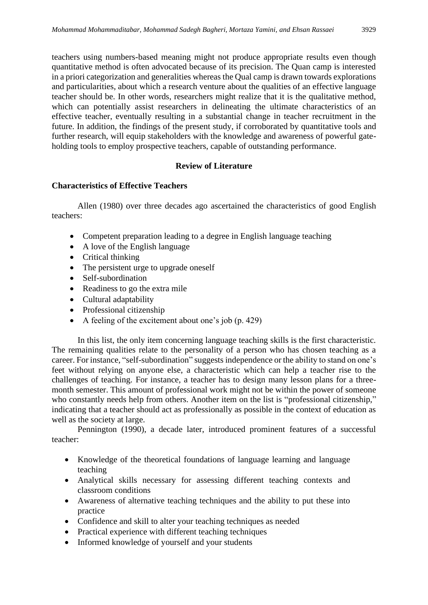teachers using numbers-based meaning might not produce appropriate results even though quantitative method is often advocated because of its precision. The Quan camp is interested in a priori categorization and generalities whereas the Qual camp is drawn towards explorations and particularities, about which a research venture about the qualities of an effective language teacher should be. In other words, researchers might realize that it is the qualitative method, which can potentially assist researchers in delineating the ultimate characteristics of an effective teacher, eventually resulting in a substantial change in teacher recruitment in the future. In addition, the findings of the present study, if corroborated by quantitative tools and further research, will equip stakeholders with the knowledge and awareness of powerful gateholding tools to employ prospective teachers, capable of outstanding performance.

## **Review of Literature**

### **Characteristics of Effective Teachers**

Allen (1980) over three decades ago ascertained the characteristics of good English teachers:

- Competent preparation leading to a degree in English language teaching
- A love of the English language
- Critical thinking
- The persistent urge to upgrade oneself
- Self-subordination
- Readiness to go the extra mile
- Cultural adaptability
- Professional citizenship
- A feeling of the excitement about one's job (p. 429)

In this list, the only item concerning language teaching skills is the first characteristic. The remaining qualities relate to the personality of a person who has chosen teaching as a career. For instance, "self-subordination" suggests independence or the ability to stand on one's feet without relying on anyone else, a characteristic which can help a teacher rise to the challenges of teaching. For instance, a teacher has to design many lesson plans for a threemonth semester. This amount of professional work might not be within the power of someone who constantly needs help from others. Another item on the list is "professional citizenship," indicating that a teacher should act as professionally as possible in the context of education as well as the society at large.

Pennington (1990), a decade later, introduced prominent features of a successful teacher:

- Knowledge of the theoretical foundations of language learning and language teaching
- Analytical skills necessary for assessing different teaching contexts and classroom conditions
- Awareness of alternative teaching techniques and the ability to put these into practice
- Confidence and skill to alter your teaching techniques as needed
- Practical experience with different teaching techniques
- Informed knowledge of yourself and your students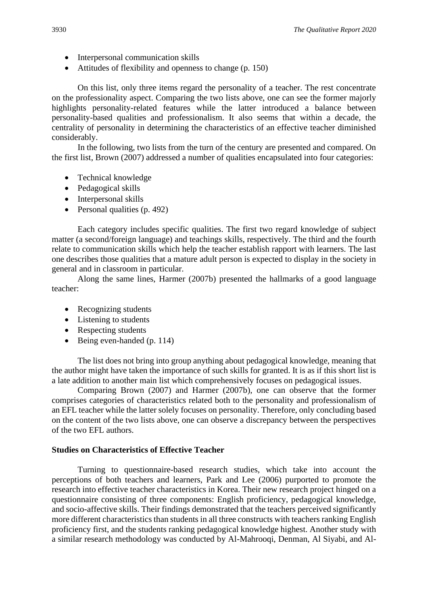- Interpersonal communication skills
- Attitudes of flexibility and openness to change (p. 150)

On this list, only three items regard the personality of a teacher. The rest concentrate on the professionality aspect. Comparing the two lists above, one can see the former majorly highlights personality-related features while the latter introduced a balance between personality-based qualities and professionalism. It also seems that within a decade, the centrality of personality in determining the characteristics of an effective teacher diminished considerably.

In the following, two lists from the turn of the century are presented and compared. On the first list, Brown (2007) addressed a number of qualities encapsulated into four categories:

- Technical knowledge
- Pedagogical skills
- Interpersonal skills
- Personal qualities (p. 492)

Each category includes specific qualities. The first two regard knowledge of subject matter (a second/foreign language) and teachings skills, respectively. The third and the fourth relate to communication skills which help the teacher establish rapport with learners. The last one describes those qualities that a mature adult person is expected to display in the society in general and in classroom in particular.

Along the same lines, Harmer (2007b) presented the hallmarks of a good language teacher:

- Recognizing students
- Listening to students
- Respecting students
- Being even-handed (p. 114)

The list does not bring into group anything about pedagogical knowledge, meaning that the author might have taken the importance of such skills for granted. It is as if this short list is a late addition to another main list which comprehensively focuses on pedagogical issues.

Comparing Brown (2007) and Harmer (2007b), one can observe that the former comprises categories of characteristics related both to the personality and professionalism of an EFL teacher while the latter solely focuses on personality. Therefore, only concluding based on the content of the two lists above, one can observe a discrepancy between the perspectives of the two EFL authors.

#### **Studies on Characteristics of Effective Teacher**

Turning to questionnaire-based research studies, which take into account the perceptions of both teachers and learners, Park and Lee (2006) purported to promote the research into effective teacher characteristics in Korea. Their new research project hinged on a questionnaire consisting of three components: English proficiency, pedagogical knowledge, and socio-affective skills. Their findings demonstrated that the teachers perceived significantly more different characteristics than students in all three constructs with teachers ranking English proficiency first, and the students ranking pedagogical knowledge highest. Another study with a similar research methodology was conducted by Al-Mahrooqi, Denman, Al Siyabi, and Al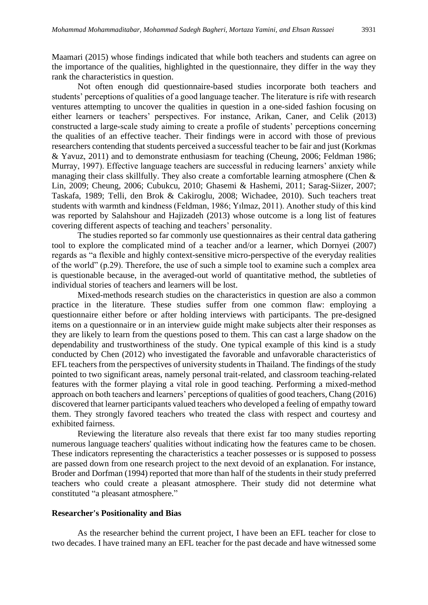Maamari (2015) whose findings indicated that while both teachers and students can agree on the importance of the qualities, highlighted in the questionnaire, they differ in the way they rank the characteristics in question.

Not often enough did questionnaire-based studies incorporate both teachers and students' perceptions of qualities of a good language teacher. The literature is rife with research ventures attempting to uncover the qualities in question in a one-sided fashion focusing on either learners or teachers' perspectives. For instance, Arikan, Caner, and Celik (2013) constructed a large-scale study aiming to create a profile of students' perceptions concerning the qualities of an effective teacher. Their findings were in accord with those of previous researchers contending that students perceived a successful teacher to be fair and just (Korkmas & Yavuz, 2011) and to demonstrate enthusiasm for teaching (Cheung, 2006; Feldman 1986; Murray, 1997). Effective language teachers are successful in reducing learners' anxiety while managing their class skillfully. They also create a comfortable learning atmosphere (Chen & Lin, 2009; Cheung, 2006; Cubukcu, 2010; Ghasemi & Hashemi, 2011; Sarag-Siizer, 2007; Taskafa, 1989; Telli, den Brok & Cakiroglu, 2008; Wichadee, 2010). Such teachers treat students with warmth and kindness (Feldman, 1986; Yılmaz, 2011). Another study of this kind was reported by Salahshour and Hajizadeh (2013) whose outcome is a long list of features covering different aspects of teaching and teachers' personality.

The studies reported so far commonly use questionnaires as their central data gathering tool to explore the complicated mind of a teacher and/or a learner, which Dornyei (2007) regards as "a flexible and highly context-sensitive micro-perspective of the everyday realities of the world" (p.29). Therefore, the use of such a simple tool to examine such a complex area is questionable because, in the averaged-out world of quantitative method, the subtleties of individual stories of teachers and learners will be lost.

Mixed-methods research studies on the characteristics in question are also a common practice in the literature. These studies suffer from one common flaw: employing a questionnaire either before or after holding interviews with participants. The pre-designed items on a questionnaire or in an interview guide might make subjects alter their responses as they are likely to learn from the questions posed to them. This can cast a large shadow on the dependability and trustworthiness of the study. One typical example of this kind is a study conducted by Chen (2012) who investigated the favorable and unfavorable characteristics of EFL teachers from the perspectives of university students in Thailand. The findings of the study pointed to two significant areas, namely personal trait-related, and classroom teaching-related features with the former playing a vital role in good teaching. Performing a mixed-method approach on both teachers and learners' perceptions of qualities of good teachers, Chang (2016) discovered that learner participants valued teachers who developed a feeling of empathy toward them. They strongly favored teachers who treated the class with respect and courtesy and exhibited fairness.

Reviewing the literature also reveals that there exist far too many studies reporting numerous language teachers' qualities without indicating how the features came to be chosen. These indicators representing the characteristics a teacher possesses or is supposed to possess are passed down from one research project to the next devoid of an explanation. For instance, Broder and Dorfman (1994) reported that more than half of the students in their study preferred teachers who could create a pleasant atmosphere. Their study did not determine what constituted "a pleasant atmosphere."

#### **Researcher's Positionality and Bias**

As the researcher behind the current project, I have been an EFL teacher for close to two decades. I have trained many an EFL teacher for the past decade and have witnessed some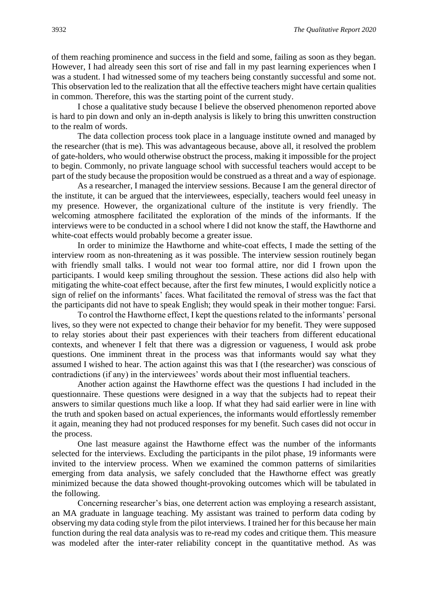of them reaching prominence and success in the field and some, failing as soon as they began. However, I had already seen this sort of rise and fall in my past learning experiences when I was a student. I had witnessed some of my teachers being constantly successful and some not. This observation led to the realization that all the effective teachers might have certain qualities in common. Therefore, this was the starting point of the current study.

I chose a qualitative study because I believe the observed phenomenon reported above is hard to pin down and only an in-depth analysis is likely to bring this unwritten construction to the realm of words.

The data collection process took place in a language institute owned and managed by the researcher (that is me). This was advantageous because, above all, it resolved the problem of gate-holders, who would otherwise obstruct the process, making it impossible for the project to begin. Commonly, no private language school with successful teachers would accept to be part of the study because the proposition would be construed as a threat and a way of espionage.

As a researcher, I managed the interview sessions. Because I am the general director of the institute, it can be argued that the interviewees, especially, teachers would feel uneasy in my presence. However, the organizational culture of the institute is very friendly. The welcoming atmosphere facilitated the exploration of the minds of the informants. If the interviews were to be conducted in a school where I did not know the staff, the Hawthorne and white-coat effects would probably become a greater issue.

In order to minimize the Hawthorne and white-coat effects, I made the setting of the interview room as non-threatening as it was possible. The interview session routinely began with friendly small talks. I would not wear too formal attire, nor did I frown upon the participants. I would keep smiling throughout the session. These actions did also help with mitigating the white-coat effect because, after the first few minutes, I would explicitly notice a sign of relief on the informants' faces. What facilitated the removal of stress was the fact that the participants did not have to speak English; they would speak in their mother tongue: Farsi.

To control the Hawthorne effect, I kept the questions related to the informants' personal lives, so they were not expected to change their behavior for my benefit. They were supposed to relay stories about their past experiences with their teachers from different educational contexts, and whenever I felt that there was a digression or vagueness, I would ask probe questions. One imminent threat in the process was that informants would say what they assumed I wished to hear. The action against this was that I (the researcher) was conscious of contradictions (if any) in the interviewees' words about their most influential teachers.

Another action against the Hawthorne effect was the questions I had included in the questionnaire. These questions were designed in a way that the subjects had to repeat their answers to similar questions much like a loop. If what they had said earlier were in line with the truth and spoken based on actual experiences, the informants would effortlessly remember it again, meaning they had not produced responses for my benefit. Such cases did not occur in the process.

One last measure against the Hawthorne effect was the number of the informants selected for the interviews. Excluding the participants in the pilot phase, 19 informants were invited to the interview process. When we examined the common patterns of similarities emerging from data analysis, we safely concluded that the Hawthorne effect was greatly minimized because the data showed thought-provoking outcomes which will be tabulated in the following.

Concerning researcher's bias, one deterrent action was employing a research assistant, an MA graduate in language teaching. My assistant was trained to perform data coding by observing my data coding style from the pilot interviews. I trained her for this because her main function during the real data analysis was to re-read my codes and critique them. This measure was modeled after the inter-rater reliability concept in the quantitative method. As was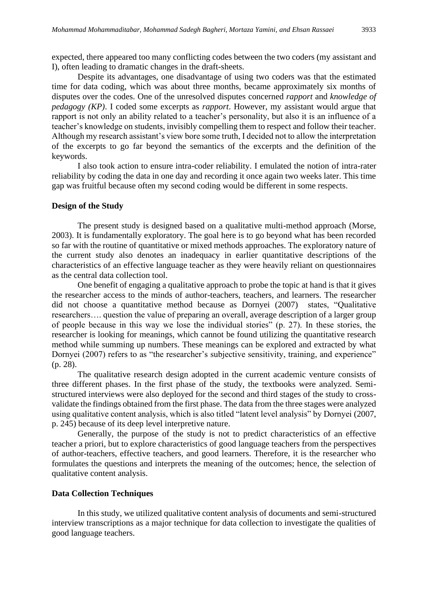expected, there appeared too many conflicting codes between the two coders (my assistant and I), often leading to dramatic changes in the draft-sheets.

Despite its advantages, one disadvantage of using two coders was that the estimated time for data coding, which was about three months, became approximately six months of disputes over the codes. One of the unresolved disputes concerned *rapport* and *knowledge of pedagogy (KP)*. I coded some excerpts as *rapport*. However, my assistant would argue that rapport is not only an ability related to a teacher's personality, but also it is an influence of a teacher's knowledge on students, invisibly compelling them to respect and follow their teacher. Although my research assistant's view bore some truth, I decided not to allow the interpretation of the excerpts to go far beyond the semantics of the excerpts and the definition of the keywords.

I also took action to ensure intra-coder reliability. I emulated the notion of intra-rater reliability by coding the data in one day and recording it once again two weeks later. This time gap was fruitful because often my second coding would be different in some respects.

#### **Design of the Study**

The present study is designed based on a qualitative multi-method approach (Morse, 2003). It is fundamentally exploratory. The goal here is to go beyond what has been recorded so far with the routine of quantitative or mixed methods approaches. The exploratory nature of the current study also denotes an inadequacy in earlier quantitative descriptions of the characteristics of an effective language teacher as they were heavily reliant on questionnaires as the central data collection tool.

One benefit of engaging a qualitative approach to probe the topic at hand is that it gives the researcher access to the minds of author-teachers, teachers, and learners. The researcher did not choose a quantitative method because as Dornyei (2007) states, "Qualitative researchers…. question the value of preparing an overall, average description of a larger group of people because in this way we lose the individual stories" (p. 27). In these stories, the researcher is looking for meanings, which cannot be found utilizing the quantitative research method while summing up numbers. These meanings can be explored and extracted by what Dornyei (2007) refers to as "the researcher's subjective sensitivity, training, and experience" (p. 28).

The qualitative research design adopted in the current academic venture consists of three different phases. In the first phase of the study, the textbooks were analyzed. Semistructured interviews were also deployed for the second and third stages of the study to crossvalidate the findings obtained from the first phase. The data from the three stages were analyzed using qualitative content analysis, which is also titled "latent level analysis" by Dornyei (2007, p. 245) because of its deep level interpretive nature.

Generally, the purpose of the study is not to predict characteristics of an effective teacher a priori, but to explore characteristics of good language teachers from the perspectives of author-teachers, effective teachers, and good learners. Therefore, it is the researcher who formulates the questions and interprets the meaning of the outcomes; hence, the selection of qualitative content analysis.

#### **Data Collection Techniques**

In this study, we utilized qualitative content analysis of documents and semi-structured interview transcriptions as a major technique for data collection to investigate the qualities of good language teachers.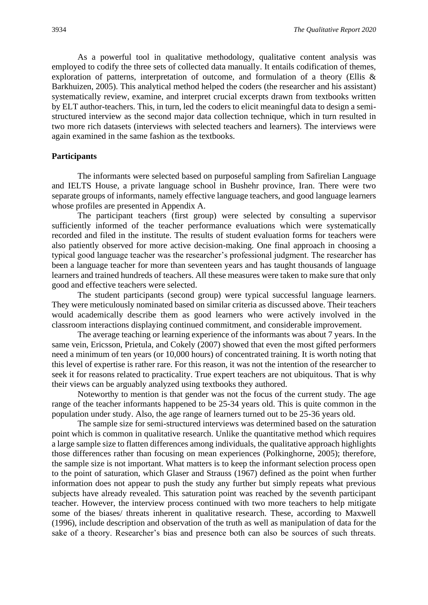As a powerful tool in qualitative methodology, qualitative content analysis was employed to codify the three sets of collected data manually. It entails codification of themes, exploration of patterns, interpretation of outcome, and formulation of a theory (Ellis & Barkhuizen, 2005). This analytical method helped the coders (the researcher and his assistant) systematically review, examine, and interpret crucial excerpts drawn from textbooks written by ELT author-teachers. This, in turn, led the coders to elicit meaningful data to design a semistructured interview as the second major data collection technique, which in turn resulted in two more rich datasets (interviews with selected teachers and learners). The interviews were again examined in the same fashion as the textbooks.

#### **Participants**

The informants were selected based on purposeful sampling from Safirelian Language and IELTS House, a private language school in Bushehr province, Iran. There were two separate groups of informants, namely effective language teachers, and good language learners whose profiles are presented in Appendix A.

The participant teachers (first group) were selected by consulting a supervisor sufficiently informed of the teacher performance evaluations which were systematically recorded and filed in the institute. The results of student evaluation forms for teachers were also patiently observed for more active decision-making. One final approach in choosing a typical good language teacher was the researcher's professional judgment. The researcher has been a language teacher for more than seventeen years and has taught thousands of language learners and trained hundreds of teachers. All these measures were taken to make sure that only good and effective teachers were selected.

The student participants (second group) were typical successful language learners. They were meticulously nominated based on similar criteria as discussed above. Their teachers would academically describe them as good learners who were actively involved in the classroom interactions displaying continued commitment, and considerable improvement.

The average teaching or learning experience of the informants was about 7 years. In the same vein, Ericsson, Prietula, and Cokely (2007) showed that even the most gifted performers need a minimum of ten years (or 10,000 hours) of concentrated training. It is worth noting that this level of expertise is rather rare. For this reason, it was not the intention of the researcher to seek it for reasons related to practicality. True expert teachers are not ubiquitous. That is why their views can be arguably analyzed using textbooks they authored.

Noteworthy to mention is that gender was not the focus of the current study. The age range of the teacher informants happened to be 25-34 years old. This is quite common in the population under study. Also, the age range of learners turned out to be 25-36 years old.

The sample size for semi-structured interviews was determined based on the saturation point which is common in qualitative research. Unlike the quantitative method which requires a large sample size to flatten differences among individuals, the qualitative approach highlights those differences rather than focusing on mean experiences (Polkinghorne, 2005); therefore, the sample size is not important. What matters is to keep the informant selection process open to the point of saturation, which Glaser and Strauss (1967) defined as the point when further information does not appear to push the study any further but simply repeats what previous subjects have already revealed. This saturation point was reached by the seventh participant teacher. However, the interview process continued with two more teachers to help mitigate some of the biases/ threats inherent in qualitative research. These, according to Maxwell (1996), include description and observation of the truth as well as manipulation of data for the sake of a theory. Researcher's bias and presence both can also be sources of such threats.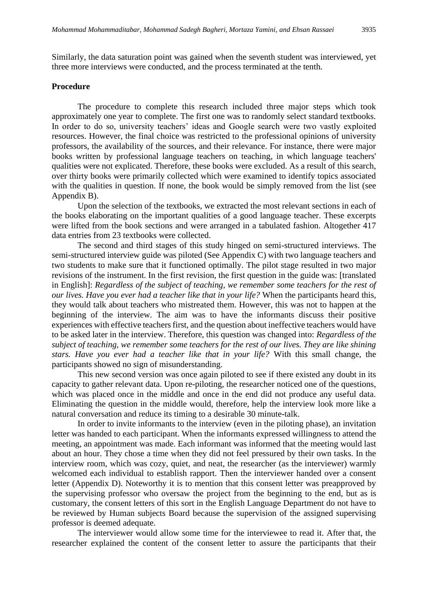Similarly, the data saturation point was gained when the seventh student was interviewed, yet three more interviews were conducted, and the process terminated at the tenth.

#### **Procedure**

The procedure to complete this research included three major steps which took approximately one year to complete. The first one was to randomly select standard textbooks. In order to do so, university teachers' ideas and Google search were two vastly exploited resources. However, the final choice was restricted to the professional opinions of university professors, the availability of the sources, and their relevance. For instance, there were major books written by professional language teachers on teaching, in which language teachers' qualities were not explicated. Therefore, these books were excluded. As a result of this search, over thirty books were primarily collected which were examined to identify topics associated with the qualities in question. If none, the book would be simply removed from the list (see Appendix B).

Upon the selection of the textbooks, we extracted the most relevant sections in each of the books elaborating on the important qualities of a good language teacher. These excerpts were lifted from the book sections and were arranged in a tabulated fashion. Altogether 417 data entries from 23 textbooks were collected.

The second and third stages of this study hinged on semi-structured interviews. The semi-structured interview guide was piloted (See Appendix C) with two language teachers and two students to make sure that it functioned optimally. The pilot stage resulted in two major revisions of the instrument. In the first revision, the first question in the guide was: [translated in English]: *Regardless of the subject of teaching, we remember some teachers for the rest of our lives. Have you ever had a teacher like that in your life?* When the participants heard this, they would talk about teachers who mistreated them. However, this was not to happen at the beginning of the interview. The aim was to have the informants discuss their positive experiences with effective teachers first, and the question about ineffective teachers would have to be asked later in the interview. Therefore, this question was changed into: *Regardless of the subject of teaching, we remember some teachers for the rest of our lives. They are like shining stars. Have you ever had a teacher like that in your life?* With this small change, the participants showed no sign of misunderstanding.

This new second version was once again piloted to see if there existed any doubt in its capacity to gather relevant data. Upon re-piloting, the researcher noticed one of the questions, which was placed once in the middle and once in the end did not produce any useful data. Eliminating the question in the middle would, therefore, help the interview look more like a natural conversation and reduce its timing to a desirable 30 minute-talk.

In order to invite informants to the interview (even in the piloting phase), an invitation letter was handed to each participant. When the informants expressed willingness to attend the meeting, an appointment was made. Each informant was informed that the meeting would last about an hour. They chose a time when they did not feel pressured by their own tasks. In the interview room, which was cozy, quiet, and neat, the researcher (as the interviewer) warmly welcomed each individual to establish rapport. Then the interviewer handed over a consent letter (Appendix D). Noteworthy it is to mention that this consent letter was preapproved by the supervising professor who oversaw the project from the beginning to the end, but as is customary, the consent letters of this sort in the English Language Department do not have to be reviewed by Human subjects Board because the supervision of the assigned supervising professor is deemed adequate.

The interviewer would allow some time for the interviewee to read it. After that, the researcher explained the content of the consent letter to assure the participants that their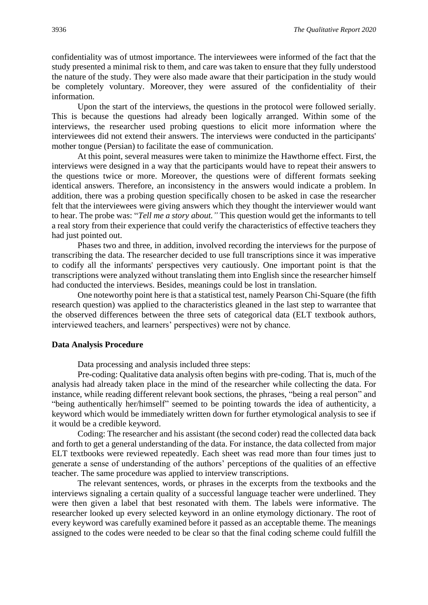confidentiality was of utmost importance. The interviewees were informed of the fact that the study presented a minimal risk to them, and care was taken to ensure that they fully understood the nature of the study. They were also made aware that their participation in the study would be completely voluntary. Moreover, they were assured of the confidentiality of their information.

Upon the start of the interviews, the questions in the protocol were followed serially. This is because the questions had already been logically arranged. Within some of the interviews, the researcher used probing questions to elicit more information where the interviewees did not extend their answers. The interviews were conducted in the participants' mother tongue (Persian) to facilitate the ease of communication.

At this point, several measures were taken to minimize the Hawthorne effect. First, the interviews were designed in a way that the participants would have to repeat their answers to the questions twice or more. Moreover, the questions were of different formats seeking identical answers. Therefore, an inconsistency in the answers would indicate a problem. In addition, there was a probing question specifically chosen to be asked in case the researcher felt that the interviewees were giving answers which they thought the interviewer would want to hear. The probe was: "*Tell me a story about."* This question would get the informants to tell a real story from their experience that could verify the characteristics of effective teachers they had just pointed out.

Phases two and three, in addition, involved recording the interviews for the purpose of transcribing the data. The researcher decided to use full transcriptions since it was imperative to codify all the informants' perspectives very cautiously. One important point is that the transcriptions were analyzed without translating them into English since the researcher himself had conducted the interviews. Besides, meanings could be lost in translation.

One noteworthy point here is that a statistical test, namely Pearson Chi-Square (the fifth research question) was applied to the characteristics gleaned in the last step to warrantee that the observed differences between the three sets of categorical data (ELT textbook authors, interviewed teachers, and learners' perspectives) were not by chance.

#### **Data Analysis Procedure**

Data processing and analysis included three steps:

Pre-coding: Qualitative data analysis often begins with pre-coding. That is, much of the analysis had already taken place in the mind of the researcher while collecting the data. For instance, while reading different relevant book sections, the phrases, "being a real person" and "being authentically her/himself" seemed to be pointing towards the idea of authenticity, a keyword which would be immediately written down for further etymological analysis to see if it would be a credible keyword.

Coding: The researcher and his assistant (the second coder) read the collected data back and forth to get a general understanding of the data. For instance, the data collected from major ELT textbooks were reviewed repeatedly. Each sheet was read more than four times just to generate a sense of understanding of the authors' perceptions of the qualities of an effective teacher. The same procedure was applied to interview transcriptions.

The relevant sentences, words, or phrases in the excerpts from the textbooks and the interviews signaling a certain quality of a successful language teacher were underlined. They were then given a label that best resonated with them. The labels were informative. The researcher looked up every selected keyword in an online etymology dictionary. The root of every keyword was carefully examined before it passed as an acceptable theme. The meanings assigned to the codes were needed to be clear so that the final coding scheme could fulfill the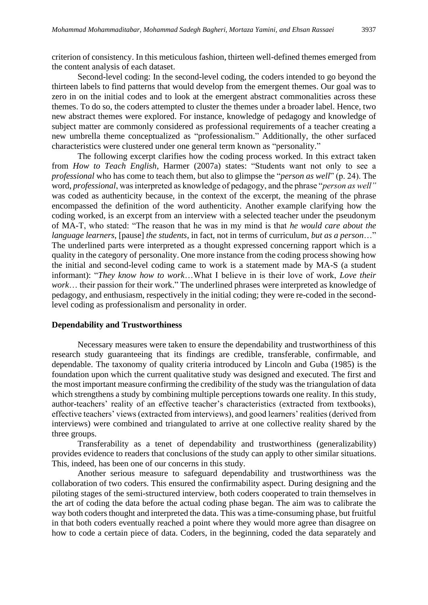criterion of consistency. In this meticulous fashion, thirteen well-defined themes emerged from the content analysis of each dataset.

Second-level coding: In the second-level coding, the coders intended to go beyond the thirteen labels to find patterns that would develop from the emergent themes. Our goal was to zero in on the initial codes and to look at the emergent abstract commonalities across these themes. To do so, the coders attempted to cluster the themes under a broader label. Hence, two new abstract themes were explored. For instance, knowledge of pedagogy and knowledge of subject matter are commonly considered as professional requirements of a teacher creating a new umbrella theme conceptualized as "professionalism." Additionally, the other surfaced characteristics were clustered under one general term known as "personality."

The following excerpt clarifies how the coding process worked. In this extract taken from *How to Teach English*, Harmer (2007a) states: "Students want not only to see a *professional* who has come to teach them, but also to glimpse the "*person as well*" (p. 24). The word, *professional*, was interpreted as knowledge of pedagogy, and the phrase "*person as well"* was coded as authenticity because, in the context of the excerpt, the meaning of the phrase encompassed the definition of the word authenticity. Another example clarifying how the coding worked, is an excerpt from an interview with a selected teacher under the pseudonym of MA-T, who stated: "The reason that he was in my mind is that *he would care about the language learners*, [pause] *the students*, in fact, not in terms of curriculum, *but as a person*…" The underlined parts were interpreted as a thought expressed concerning rapport which is a quality in the category of personality. One more instance from the coding process showing how the initial and second-level coding came to work is a statement made by MA-S (a student informant): "*They know how to work*…What I believe in is their love of work, *Love their work*… their passion for their work." The underlined phrases were interpreted as knowledge of pedagogy, and enthusiasm, respectively in the initial coding; they were re-coded in the secondlevel coding as professionalism and personality in order.

#### **Dependability and Trustworthiness**

Necessary measures were taken to ensure the dependability and trustworthiness of this research study guaranteeing that its findings are credible, transferable, confirmable, and dependable. The taxonomy of quality criteria introduced by Lincoln and Guba (1985) is the foundation upon which the current qualitative study was designed and executed. The first and the most important measure confirming the credibility of the study was the triangulation of data which strengthens a study by combining multiple perceptions towards one reality. In this study, author-teachers' reality of an effective teacher's characteristics (extracted from textbooks), effective teachers' views (extracted from interviews), and good learners' realities (derived from interviews) were combined and triangulated to arrive at one collective reality shared by the three groups.

Transferability as a tenet of dependability and trustworthiness (generalizability) provides evidence to readers that conclusions of the study can apply to other similar situations. This, indeed, has been one of our concerns in this study.

Another serious measure to safeguard dependability and trustworthiness was the collaboration of two coders. This ensured the confirmability aspect. During designing and the piloting stages of the semi-structured interview, both coders cooperated to train themselves in the art of coding the data before the actual coding phase began. The aim was to calibrate the way both coders thought and interpreted the data. This was a time-consuming phase, but fruitful in that both coders eventually reached a point where they would more agree than disagree on how to code a certain piece of data. Coders, in the beginning, coded the data separately and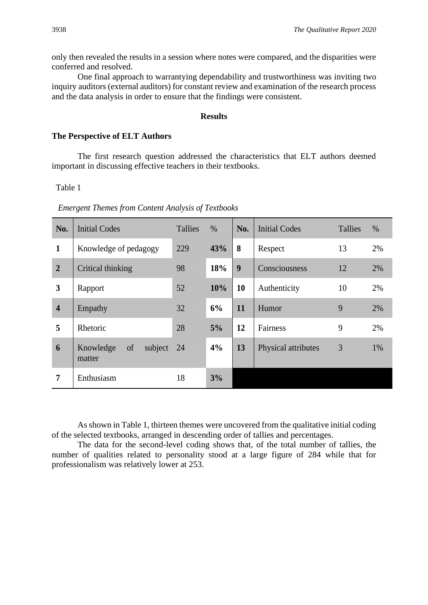only then revealed the results in a session where notes were compared, and the disparities were conferred and resolved.

One final approach to warrantying dependability and trustworthiness was inviting two inquiry auditors (external auditors) for constant review and examination of the research process and the data analysis in order to ensure that the findings were consistent.

#### **Results**

#### **The Perspective of ELT Authors**

The first research question addressed the characteristics that ELT authors deemed important in discussing effective teachers in their textbooks.

Table 1

| <b>Emergent Themes from Content Analysis of Textbooks</b> |  |  |  |
|-----------------------------------------------------------|--|--|--|
|                                                           |  |  |  |

| No.                     | <b>Initial Codes</b>                 | <b>Tallies</b> | $\%$ | No. | <b>Initial Codes</b> | Tallies | $\%$ |
|-------------------------|--------------------------------------|----------------|------|-----|----------------------|---------|------|
| $\mathbf{1}$            | Knowledge of pedagogy                | 229            | 43%  | 8   | Respect              | 13      | 2%   |
| $\overline{2}$          | Critical thinking                    | 98             | 18%  | 9   | Consciousness        | 12      | 2%   |
| 3                       | Rapport                              | 52             | 10%  | 10  | Authenticity         | 10      | 2%   |
| $\overline{\mathbf{4}}$ | Empathy                              | 32             | 6%   | 11  | Humor                | 9       | 2%   |
| 5                       | Rhetoric                             | 28             | 5%   | 12  | Fairness             | 9       | 2%   |
| 6                       | of<br>subject<br>Knowledge<br>matter | 24             | 4%   | 13  | Physical attributes  | 3       | 1%   |
| $\overline{7}$          | Enthusiasm                           | 18             | 3%   |     |                      |         |      |

As shown in Table 1, thirteen themes were uncovered from the qualitative initial coding of the selected textbooks, arranged in descending order of tallies and percentages.

The data for the second-level coding shows that, of the total number of tallies, the number of qualities related to personality stood at a large figure of 284 while that for professionalism was relatively lower at 253.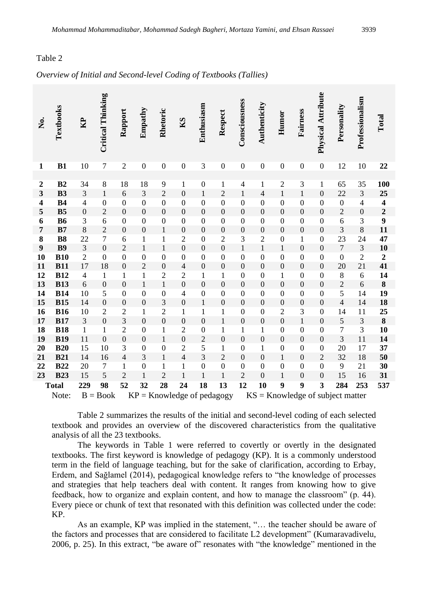#### Table 2

#### *Overview of Initial and Second-level Coding of Textbooks (Tallies)*

| Ż.                      | Textbooks                | R <sub>2</sub>           | <b>Critical Thinking</b> | Rapport                          | Empathy                      | Rhetoric                       | K <sub>S</sub>                   | Enthusiasm                       | Respect                        | Consciousness                        | Authenticity                         | Humor                                | Fairness                             | Physical Attribute                   | Personality                        | Professionalism          | Total                   |
|-------------------------|--------------------------|--------------------------|--------------------------|----------------------------------|------------------------------|--------------------------------|----------------------------------|----------------------------------|--------------------------------|--------------------------------------|--------------------------------------|--------------------------------------|--------------------------------------|--------------------------------------|------------------------------------|--------------------------|-------------------------|
| $\mathbf{1}$            | B1                       | 10                       | $\boldsymbol{7}$         | $\overline{2}$                   | $\boldsymbol{0}$             | $\boldsymbol{0}$               | $\boldsymbol{0}$                 | 3                                | $\boldsymbol{0}$               | $\boldsymbol{0}$                     | $\boldsymbol{0}$                     | $\boldsymbol{0}$                     | $\boldsymbol{0}$                     | $\boldsymbol{0}$                     | 12                                 | 10                       | 22                      |
|                         |                          |                          |                          |                                  |                              |                                |                                  |                                  |                                |                                      |                                      |                                      |                                      |                                      |                                    |                          |                         |
| $\boldsymbol{2}$        | B2                       | 34                       | $\,8\,$                  | 18                               | 18                           | 9                              | $\mathbf{1}$                     | $\boldsymbol{0}$                 | $\mathbf{1}$                   | $\overline{4}$                       | $\mathbf{1}$                         | $\sqrt{2}$                           | 3                                    | $\,1$                                | 65                                 | 35                       | 100                     |
| $\overline{\mathbf{3}}$ | <b>B3</b>                | $\mathfrak{Z}$           | $\mathbf{1}$             | 6                                | 3                            | $\overline{2}$                 | $\overline{0}$                   | $\mathbf{1}$                     | $\overline{2}$                 | $\mathbf{1}$                         | $\overline{4}$                       | $\mathbf{1}$                         | $\mathbf{1}$                         | $\boldsymbol{0}$                     | 22                                 | 3                        | 25                      |
| 4                       | <b>B4</b>                | $\overline{\mathcal{L}}$ | $\boldsymbol{0}$         | $\boldsymbol{0}$                 | $\boldsymbol{0}$             | $\overline{0}$                 | $\boldsymbol{0}$                 | $\boldsymbol{0}$                 | $\boldsymbol{0}$               | $\overline{0}$                       | $\overline{0}$                       | $\boldsymbol{0}$                     | $\boldsymbol{0}$                     | $\boldsymbol{0}$                     | $\boldsymbol{0}$                   | $\overline{\mathcal{L}}$ | $\overline{\mathbf{4}}$ |
| 5                       | B <sub>5</sub>           | $\boldsymbol{0}$         | $\overline{2}$           | $\overline{0}$                   | $\overline{0}$               | $\overline{0}$                 | $\overline{0}$                   | $\overline{0}$                   | $\overline{0}$                 | $\overline{0}$                       | $\boldsymbol{0}$                     | $\boldsymbol{0}$                     | $\boldsymbol{0}$                     | $\boldsymbol{0}$                     | $\overline{c}$                     | $\boldsymbol{0}$         | $\overline{2}$          |
| 6                       | <b>B6</b>                | 3                        | 6                        | $\overline{0}$                   | $\boldsymbol{0}$             | $\boldsymbol{0}$               | $\boldsymbol{0}$                 | $\boldsymbol{0}$                 | $\boldsymbol{0}$               | $\boldsymbol{0}$                     | $\boldsymbol{0}$                     | $\boldsymbol{0}$                     | $\boldsymbol{0}$                     | $\boldsymbol{0}$                     | 6                                  | 3                        | 9                       |
| $\overline{7}$          | B7                       | 8                        | $\overline{c}$           | $\boldsymbol{0}$                 | $\boldsymbol{0}$             | $\,1$                          | $\boldsymbol{0}$                 | $\mathbf{0}$                     | $\boldsymbol{0}$               | $\boldsymbol{0}$                     | $\boldsymbol{0}$                     | $\boldsymbol{0}$                     | $\boldsymbol{0}$                     | $\boldsymbol{0}$                     | 3                                  | 8                        | 11                      |
| 8                       | <b>B8</b>                | 22                       | $\overline{7}$           | 6                                | $\mathbf{1}$                 | $\mathbf{1}$                   | $\overline{2}$                   | $\boldsymbol{0}$                 | $\overline{2}$                 | 3                                    | $\overline{c}$                       | $\boldsymbol{0}$                     | $\mathbf{1}$                         | $\boldsymbol{0}$                     | 23                                 | 24                       | 47                      |
| $\boldsymbol{9}$        | <b>B9</b>                | 3                        | $\mathbf{0}$             | $\overline{2}$                   | $\mathbf{1}$                 | $\mathbf{1}$                   | $\overline{0}$                   | $\overline{0}$                   | $\overline{0}$                 | $\mathbf{1}$                         | $\mathbf{1}$                         | $\mathbf{1}$                         | $\boldsymbol{0}$                     | $\boldsymbol{0}$                     | $\overline{7}$                     | $\overline{3}$           | 10                      |
| 10                      | <b>B10</b>               | $\overline{c}$           | $\boldsymbol{0}$         | $\overline{0}$                   | $\boldsymbol{0}$             | $\overline{0}$                 | $\boldsymbol{0}$                 | $\boldsymbol{0}$                 | $\boldsymbol{0}$               | $\boldsymbol{0}$                     | $\boldsymbol{0}$                     | $\boldsymbol{0}$                     | $\boldsymbol{0}$                     | $\boldsymbol{0}$                     | $\boldsymbol{0}$                   | $\overline{c}$           | $\boldsymbol{2}$        |
| 11                      | <b>B11</b>               | 17                       | 18                       | $\boldsymbol{0}$                 | $\overline{2}$               | $\overline{0}$                 | $\overline{4}$                   | $\overline{0}$                   | $\overline{0}$                 | $\boldsymbol{0}$                     | $\overline{0}$                       | $\boldsymbol{0}$                     | $\boldsymbol{0}$                     | $\boldsymbol{0}$                     | 20                                 | 21                       | 41                      |
| 12<br>13                | <b>B12</b><br><b>B13</b> | $\overline{4}$<br>6      | $\mathbf 1$              | $\mathbf{1}$<br>$\boldsymbol{0}$ | $\mathbf{1}$<br>$\mathbf{1}$ | $\overline{2}$<br>$\mathbf{1}$ | $\overline{2}$<br>$\overline{0}$ | $\mathbf{1}$<br>$\boldsymbol{0}$ | $\mathbf{1}$<br>$\overline{0}$ | $\boldsymbol{0}$<br>$\boldsymbol{0}$ | $\boldsymbol{0}$<br>$\boldsymbol{0}$ | $\mathbf{1}$                         | $\boldsymbol{0}$                     | $\boldsymbol{0}$                     | 8                                  | 6<br>6                   | 14<br>$\bf 8$           |
| 14                      | <b>B14</b>               | 10                       | $\boldsymbol{0}$<br>5    | $\boldsymbol{0}$                 | $\boldsymbol{0}$             | $\boldsymbol{0}$               | $\overline{4}$                   | $\boldsymbol{0}$                 | $\boldsymbol{0}$               | $\boldsymbol{0}$                     | $\boldsymbol{0}$                     | $\boldsymbol{0}$<br>$\boldsymbol{0}$ | $\boldsymbol{0}$<br>$\boldsymbol{0}$ | $\boldsymbol{0}$<br>$\boldsymbol{0}$ | $\overline{c}$<br>5                | 14                       | 19                      |
| 15                      | <b>B15</b>               | 14                       | $\boldsymbol{0}$         | $\boldsymbol{0}$                 | $\mathbf{0}$                 | 3                              | $\overline{0}$                   | $\mathbf{1}$                     | $\overline{0}$                 | $\overline{0}$                       | $\boldsymbol{0}$                     | $\boldsymbol{0}$                     | $\boldsymbol{0}$                     | $\boldsymbol{0}$                     | $\overline{\mathcal{L}}$           | 14                       | 18                      |
| 16                      | <b>B16</b>               | 10                       | $\overline{2}$           | $\overline{2}$                   | $\mathbf{1}$                 | $\overline{2}$                 | 1                                | $\mathbf{1}$                     | $\mathbf 1$                    | $\overline{0}$                       | $\boldsymbol{0}$                     | $\overline{2}$                       | 3                                    | $\boldsymbol{0}$                     | 14                                 | 11                       | 25                      |
| 17                      | <b>B17</b>               | 3                        | $\boldsymbol{0}$         | $\overline{3}$                   | $\overline{0}$               | $\overline{0}$                 | $\overline{0}$                   | $\overline{0}$                   | $\mathbf{1}$                   | $\boldsymbol{0}$                     | $\boldsymbol{0}$                     | $\boldsymbol{0}$                     | $\mathbf{1}$                         | $\boldsymbol{0}$                     | 5                                  | 3                        | 8                       |
| 18                      | <b>B18</b>               | $\mathbf{1}$             | $\mathbf 1$              | $\overline{c}$                   | $\boldsymbol{0}$             | $\mathbf{1}$                   | $\overline{2}$                   | $\boldsymbol{0}$                 | $\mathbf{1}$                   | $\mathbf{1}$                         | $\mathbf{1}$                         | $\boldsymbol{0}$                     | $\boldsymbol{0}$                     | $\boldsymbol{0}$                     | $\overline{7}$                     | 3                        | 10                      |
| 19                      | <b>B19</b>               | 11                       | $\overline{0}$           | $\boldsymbol{0}$                 | $\boldsymbol{0}$             | $\mathbf{1}$                   | $\overline{0}$                   | $\overline{c}$                   | $\overline{0}$                 | $\boldsymbol{0}$                     | $\boldsymbol{0}$                     | $\boldsymbol{0}$                     | $\boldsymbol{0}$                     | $\boldsymbol{0}$                     | 3                                  | 11                       | 14                      |
| 20                      | <b>B20</b>               | 15                       | 10                       | 3                                | $\boldsymbol{0}$             | $\boldsymbol{0}$               | $\overline{2}$                   | 5                                | $\mathbf{1}$                   | $\boldsymbol{0}$                     | $\mathbf{1}$                         | $\boldsymbol{0}$                     | $\boldsymbol{0}$                     | $\boldsymbol{0}$                     | 20                                 | 17                       | 37                      |
| 21                      | <b>B21</b>               | 14                       | 16                       | $\overline{4}$                   | 3                            | $\mathbf{1}$                   | $\overline{4}$                   | $\overline{3}$                   | $\overline{2}$                 | $\overline{0}$                       | $\overline{0}$                       | $\mathbf{1}$                         | $\boldsymbol{0}$                     | $\sqrt{2}$                           | 32                                 | 18                       | 50                      |
| 22                      | <b>B22</b>               | 20                       | $\boldsymbol{7}$         | $\mathbf{1}$                     | $\boldsymbol{0}$             | $\mathbf{1}$                   | $\mathbf{1}$                     | $\boldsymbol{0}$                 | $\boldsymbol{0}$               | $\boldsymbol{0}$                     | $\boldsymbol{0}$                     | $\boldsymbol{0}$                     | $\boldsymbol{0}$                     | $\boldsymbol{0}$                     | 9                                  | 21                       | 30                      |
| 23                      | <b>B23</b>               | 15                       | 5                        | $\overline{2}$                   | $\mathbf{1}$                 | $\overline{2}$                 | $\mathbf{1}$                     | $\mathbf{1}$                     | $\mathbf{1}$                   | $\overline{c}$                       | $\overline{0}$                       | $\mathbf{1}$                         | $\boldsymbol{0}$                     | $\boldsymbol{0}$                     | 15                                 | 16                       | 31                      |
|                         | <b>Total</b>             | 229                      | 98                       | 52                               | 32                           | 28                             | 24                               | 18                               | 13                             | 12                                   | 10                                   | 9                                    | 9                                    | 3                                    | 284                                | 253                      | 537                     |
|                         | Note:                    |                          | $B = Book$               |                                  |                              |                                |                                  |                                  | $KP =$ Knowledge of pedagogy   |                                      |                                      |                                      |                                      |                                      | $KS =$ Knowledge of subject matter |                          |                         |

Table 2 summarizes the results of the initial and second-level coding of each selected textbook and provides an overview of the discovered characteristics from the qualitative analysis of all the 23 textbooks.

The keywords in Table 1 were referred to covertly or overtly in the designated textbooks. The first keyword is knowledge of pedagogy (KP). It is a commonly understood term in the field of language teaching, but for the sake of clarification, according to Erbay, Erdem, and Sağlamel (2014), pedagogical knowledge refers to "the knowledge of processes and strategies that help teachers deal with content. It ranges from knowing how to give feedback, how to organize and explain content, and how to manage the classroom" (p. 44). Every piece or chunk of text that resonated with this definition was collected under the code: KP.

As an example, KP was implied in the statement, "… the teacher should be aware of the factors and processes that are considered to facilitate L2 development" (Kumaravadivelu, 2006, p. 25). In this extract, "be aware of" resonates with "the knowledge" mentioned in the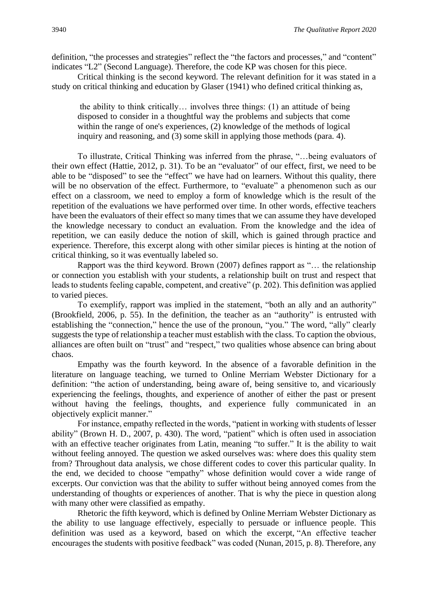definition, "the processes and strategies" reflect the "the factors and processes," and "content" indicates "L2" (Second Language). Therefore, the code KP was chosen for this piece.

Critical thinking is the second keyword. The relevant definition for it was stated in a study on critical thinking and education by Glaser (1941) who defined critical thinking as,

the ability to think critically… involves three things: (1) an attitude of being disposed to consider in a thoughtful way the problems and subjects that come within the range of one's experiences, (2) knowledge of the methods of logical inquiry and reasoning, and (3) some skill in applying those methods (para. 4).

To illustrate, Critical Thinking was inferred from the phrase, "…being evaluators of their own effect (Hattie, 2012, p. 31). To be an "evaluator" of our effect, first, we need to be able to be "disposed" to see the "effect" we have had on learners. Without this quality, there will be no observation of the effect. Furthermore, to "evaluate" a phenomenon such as our effect on a classroom, we need to employ a form of knowledge which is the result of the repetition of the evaluations we have performed over time. In other words, effective teachers have been the evaluators of their effect so many times that we can assume they have developed the knowledge necessary to conduct an evaluation. From the knowledge and the idea of repetition, we can easily deduce the notion of skill, which is gained through practice and experience. Therefore, this excerpt along with other similar pieces is hinting at the notion of critical thinking, so it was eventually labeled so.

Rapport was the third keyword. Brown (2007) defines rapport as "… the relationship or connection you establish with your students, a relationship built on trust and respect that leads to students feeling capable, competent, and creative" (p. 202). This definition was applied to varied pieces.

To exemplify, rapport was implied in the statement, "both an ally and an authority" (Brookfield, 2006, p. 55). In the definition, the teacher as an "authority" is entrusted with establishing the "connection," hence the use of the pronoun, "you." The word, "ally" clearly suggests the type of relationship a teacher must establish with the class. To caption the obvious, alliances are often built on "trust" and "respect," two qualities whose absence can bring about chaos.

Empathy was the fourth keyword. In the absence of a favorable definition in the literature on language teaching, we turned to Online Merriam Webster Dictionary for a definition: "the action of understanding, being aware of, being sensitive to, and vicariously experiencing the feelings, thoughts, and experience of another of either the past or present without having the feelings, thoughts, and experience fully communicated in an objectively explicit manner."

For instance, empathy reflected in the words, "patient in working with students of lesser ability" (Brown H. D., 2007, p. 430). The word, "patient" which is often used in association with an effective teacher originates from Latin, meaning "to suffer." It is the ability to wait without feeling annoyed. The question we asked ourselves was: where does this quality stem from? Throughout data analysis, we chose different codes to cover this particular quality. In the end, we decided to choose "empathy" whose definition would cover a wide range of excerpts. Our conviction was that the ability to suffer without being annoyed comes from the understanding of thoughts or experiences of another. That is why the piece in question along with many other were classified as empathy.

Rhetoric the fifth keyword, which is defined by Online Merriam Webster Dictionary as the ability to use language effectively, especially to persuade or influence people. This definition was used as a keyword, based on which the excerpt, "An effective teacher encourages the students with positive feedback" was coded (Nunan, 2015, p. 8). Therefore, any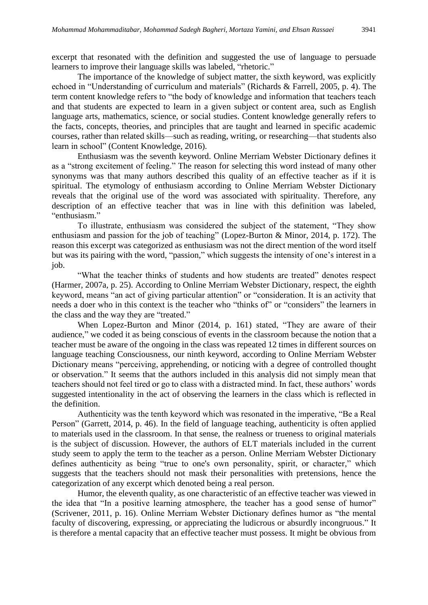excerpt that resonated with the definition and suggested the use of language to persuade learners to improve their language skills was labeled, "rhetoric."

The importance of the knowledge of subject matter, the sixth keyword, was explicitly echoed in "Understanding of curriculum and materials" (Richards & Farrell, 2005, p. 4). The term content knowledge refers to "the body of knowledge and information that teachers teach and that students are expected to learn in a given subject or content area, such as English language arts, mathematics, science, or social studies. Content knowledge generally refers to the facts, concepts, theories, and principles that are taught and learned in specific academic courses, rather than related skills—such as reading, writing, or researching—that students also learn in school" (Content Knowledge, 2016).

Enthusiasm was the seventh keyword. Online Merriam Webster Dictionary defines it as a "strong excitement of feeling." The reason for selecting this word instead of many other synonyms was that many authors described this quality of an effective teacher as if it is spiritual. The etymology of enthusiasm according to Online Merriam Webster Dictionary reveals that the original use of the word was associated with spirituality. Therefore, any description of an effective teacher that was in line with this definition was labeled, "enthusiasm."

To illustrate, enthusiasm was considered the subject of the statement, "They show enthusiasm and passion for the job of teaching" (Lopez-Burton & Minor, 2014, p. 172). The reason this excerpt was categorized as enthusiasm was not the direct mention of the word itself but was its pairing with the word, "passion," which suggests the intensity of one's interest in a job.

"What the teacher thinks of students and how students are treated" denotes respect (Harmer, 2007a, p. 25). According to Online Merriam Webster Dictionary, respect, the eighth keyword, means "an act of giving particular attention" or "consideration. It is an activity that needs a doer who in this context is the teacher who "thinks of" or "considers" the learners in the class and the way they are "treated."

When Lopez-Burton and Minor (2014, p. 161) stated, "They are aware of their audience," we coded it as being conscious of events in the classroom because the notion that a teacher must be aware of the ongoing in the class was repeated 12 times in different sources on language teaching Consciousness, our ninth keyword, according to Online Merriam Webster Dictionary means "perceiving, apprehending, or noticing with a degree of controlled thought or observation." It seems that the authors included in this analysis did not simply mean that teachers should not feel tired or go to class with a distracted mind. In fact, these authors' words suggested intentionality in the act of observing the learners in the class which is reflected in the definition.

Authenticity was the tenth keyword which was resonated in the imperative, "Be a Real Person" (Garrett, 2014, p. 46). In the field of language teaching, authenticity is often applied to materials used in the classroom. In that sense, the realness or trueness to original materials is the subject of discussion. However, the authors of ELT materials included in the current study seem to apply the term to the teacher as a person. Online Merriam Webster Dictionary defines authenticity as being "true to one's own personality, spirit, or character," which suggests that the teachers should not mask their personalities with pretensions, hence the categorization of any excerpt which denoted being a real person.

Humor, the eleventh quality, as one characteristic of an effective teacher was viewed in the idea that "In a positive learning atmosphere, the teacher has a good sense of humor" (Scrivener, 2011, p. 16). Online Merriam Webster Dictionary defines humor as "the mental faculty of discovering, expressing, or appreciating the ludicrous or absurdly incongruous." It is therefore a mental capacity that an effective teacher must possess. It might be obvious from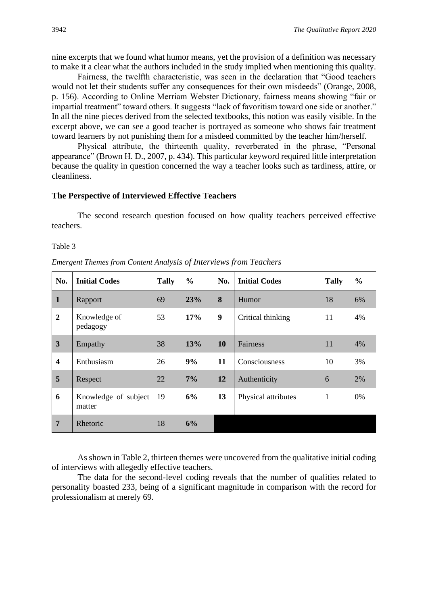nine excerpts that we found what humor means, yet the provision of a definition was necessary to make it a clear what the authors included in the study implied when mentioning this quality.

Fairness, the twelfth characteristic, was seen in the declaration that "Good teachers would not let their students suffer any consequences for their own misdeeds" (Orange, 2008, p. 156). According to Online Merriam Webster Dictionary, fairness means showing "fair or impartial treatment" toward others. It suggests "lack of favoritism toward one side or another." In all the nine pieces derived from the selected textbooks, this notion was easily visible. In the excerpt above, we can see a good teacher is portrayed as someone who shows fair treatment toward learners by not punishing them for a misdeed committed by the teacher him/herself.

Physical attribute, the thirteenth quality, reverberated in the phrase, "Personal appearance" (Brown H. D., 2007, p. 434). This particular keyword required little interpretation because the quality in question concerned the way a teacher looks such as tardiness, attire, or cleanliness.

#### **The Perspective of Interviewed Effective Teachers**

The second research question focused on how quality teachers perceived effective teachers.

Table 3

| Emergent Themes from Content Analysis of Interviews from Teachers |  |  |  |
|-------------------------------------------------------------------|--|--|--|
|                                                                   |  |  |  |

| No.                     | <b>Initial Codes</b>           | <b>Tally</b> | $\frac{6}{9}$ | No.              | <b>Initial Codes</b> | <b>Tally</b> | $\frac{0}{0}$ |
|-------------------------|--------------------------------|--------------|---------------|------------------|----------------------|--------------|---------------|
| $\mathbf{1}$            | Rapport                        | 69           | 23%           | 8                | Humor                | 18           | 6%            |
| $\boldsymbol{2}$        | Knowledge of<br>pedagogy       | 53           | 17%           | $\boldsymbol{9}$ | Critical thinking    | 11           | 4%            |
| $\overline{\mathbf{3}}$ | Empathy                        | 38           | 13%           | 10               | Fairness             | 11           | 4%            |
| $\overline{\mathbf{4}}$ | Enthusiasm                     | 26           | 9%            | 11               | Consciousness        | 10           | 3%            |
| 5                       | Respect                        | 22           | 7%            | 12               | Authenticity         | 6            | 2%            |
| 6                       | Knowledge of subject<br>matter | 19           | 6%            | 13               | Physical attributes  | $\mathbf{1}$ | 0%            |
| $7\phantom{.0}$         | Rhetoric                       | 18           | 6%            |                  |                      |              |               |

As shown in Table 2, thirteen themes were uncovered from the qualitative initial coding of interviews with allegedly effective teachers.

The data for the second-level coding reveals that the number of qualities related to personality boasted 233, being of a significant magnitude in comparison with the record for professionalism at merely 69.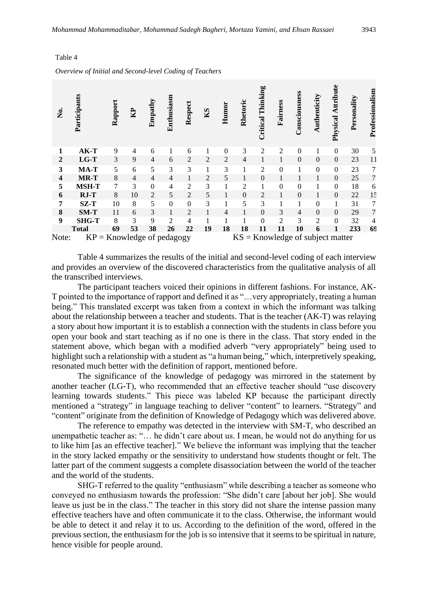| .<br>Ž                  | Participants                 | Rapport | $\mathbf{B}$ | Empathy        | Enthusiasm     | Respect  | KS | Humor    | Rhetoric | Thinking<br>Critical | Fairness                           | Consciousness | Authenticity   | Attribute<br>Physical | Personality | Professionalism |
|-------------------------|------------------------------|---------|--------------|----------------|----------------|----------|----|----------|----------|----------------------|------------------------------------|---------------|----------------|-----------------------|-------------|-----------------|
| 1                       | AK-T                         | 9       | 4            | 6              |                | 6        |    | $\Omega$ | 3        | 2                    | 2                                  | $\Omega$      | 1              | $\mathbf{0}$          | 30          | 5               |
| $\overline{2}$          | $LG-T$                       | 3       | 9            | $\overline{4}$ | 6              | 2        | 2  | 2        | 4        | 1                    | 1                                  | $\Omega$      | $\Omega$       | $\boldsymbol{0}$      | 23          | 11              |
| 3                       | MA-T                         | 5       | 6            | 5              | 3              | 3        |    | 3        |          | 2                    | $\boldsymbol{0}$                   | 1             | $\theta$       | $\mathbf{0}$          | 23          | 7               |
| $\overline{\mathbf{4}}$ | MR-T                         | 8       | 4            | $\overline{4}$ | 4              | 1        | 2  | 5        |          | $\mathbf{0}$         |                                    |               | 1              | $\overline{0}$        | 25          | $\overline{7}$  |
| 5                       | <b>MSH-T</b>                 | 7       | 3            | $\Omega$       | 4              | 2        | 3  |          | 2        |                      | $\theta$                           | $\theta$      |                | $\mathbf{0}$          | 18          | 6               |
| 6                       | $RJ-T$                       | 8       | 10           | $\overline{2}$ | 5              | 2        | 5  | 1        | $\Omega$ | $\overline{c}$       | 1                                  | $\Omega$      | 1              | $\Omega$              | 22          | 15              |
| 7                       | $SZ-T$                       | 10      | 8            | 5              | $\mathbf{0}$   | $\Omega$ | 3  | 1        | 5        | 3                    |                                    | 1             | $\Omega$       | 1                     | 31          | 7               |
| 8                       | $SM-T$                       | 11      | 6            | 3              | 1              | 2        | 1  | 4        | 1        | $\Omega$             | 3                                  | 4             | $\Omega$       | $\Omega$              | 29          | 7               |
| 9                       | <b>SHG-T</b>                 | 8       | 3            | 9              | $\mathfrak{D}$ | 4        |    |          |          | $\Omega$             | 2                                  | 3             | $\mathfrak{D}$ | $\Omega$              | 32          | 4               |
|                         | <b>Total</b>                 | 69      | 53           | 38             | 26             | 22       | 19 | 18       | 18       | 11                   | 11                                 | 10            | 6              | 1                     | 233         | 69              |
| Note:                   | $KP =$ Knowledge of pedagogy |         |              |                |                |          |    |          |          |                      | $KS =$ Knowledge of subject matter |               |                |                       |             |                 |

# *Overview of Initial and Second-level Coding of Teachers*

Table 4

Table 4 summarizes the results of the initial and second-level coding of each interview and provides an overview of the discovered characteristics from the qualitative analysis of all the transcribed interviews.

The participant teachers voiced their opinions in different fashions. For instance, AK-T pointed to the importance of rapport and defined it as "…very appropriately, treating a human being." This translated excerpt was taken from a context in which the informant was talking about the relationship between a teacher and students. That is the teacher (AK-T) was relaying a story about how important it is to establish a connection with the students in class before you open your book and start teaching as if no one is there in the class. That story ended in the statement above, which began with a modified adverb "very appropriately" being used to highlight such a relationship with a student as "a human being," which, interpretively speaking, resonated much better with the definition of rapport, mentioned before.

The significance of the knowledge of pedagogy was mirrored in the statement by another teacher (LG-T), who recommended that an effective teacher should "use discovery learning towards students." This piece was labeled KP because the participant directly mentioned a "strategy" in language teaching to deliver "content" to learners. "Strategy" and "content" originate from the definition of Knowledge of Pedagogy which was delivered above.

The reference to empathy was detected in the interview with SM-T, who described an unempathetic teacher as: "… he didn't care about us. I mean, he would not do anything for us to like him [as an effective teacher]." We believe the informant was implying that the teacher in the story lacked empathy or the sensitivity to understand how students thought or felt. The latter part of the comment suggests a complete disassociation between the world of the teacher and the world of the students.

SHG-T referred to the quality "enthusiasm" while describing a teacher as someone who conveyed no enthusiasm towards the profession: "She didn't care [about her job]. She would leave us just be in the class." The teacher in this story did not share the intense passion many effective teachers have and often communicate it to the class. Otherwise, the informant would be able to detect it and relay it to us. According to the definition of the word, offered in the previous section, the enthusiasm for the job is so intensive that it seems to be spiritual in nature, hence visible for people around.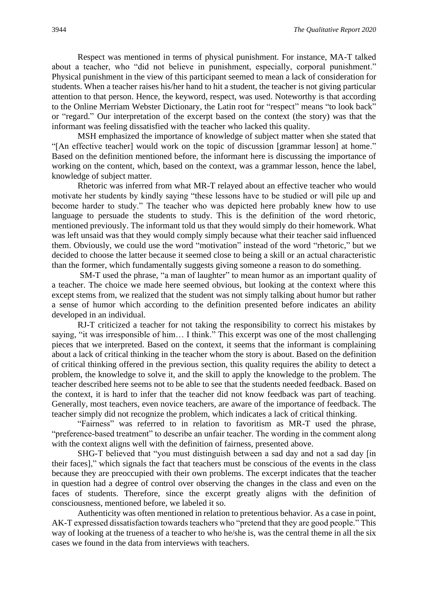Respect was mentioned in terms of physical punishment. For instance, MA-T talked about a teacher, who "did not believe in punishment, especially, corporal punishment." Physical punishment in the view of this participant seemed to mean a lack of consideration for students. When a teacher raises his/her hand to hit a student, the teacher is not giving particular attention to that person. Hence, the keyword, respect, was used. Noteworthy is that according to the Online Merriam Webster Dictionary, the Latin root for "respect" means "to look back" or "regard." Our interpretation of the excerpt based on the context (the story) was that the informant was feeling dissatisfied with the teacher who lacked this quality.

MSH emphasized the importance of knowledge of subject matter when she stated that "[An effective teacher] would work on the topic of discussion [grammar lesson] at home." Based on the definition mentioned before, the informant here is discussing the importance of working on the content, which, based on the context, was a grammar lesson, hence the label, knowledge of subject matter.

Rhetoric was inferred from what MR-T relayed about an effective teacher who would motivate her students by kindly saying "these lessons have to be studied or will pile up and become harder to study." The teacher who was depicted here probably knew how to use language to persuade the students to study. This is the definition of the word rhetoric, mentioned previously. The informant told us that they would simply do their homework. What was left unsaid was that they would comply simply because what their teacher said influenced them. Obviously, we could use the word "motivation" instead of the word "rhetoric," but we decided to choose the latter because it seemed close to being a skill or an actual characteristic than the former, which fundamentally suggests giving someone a reason to do something.

SM-T used the phrase, "a man of laughter" to mean humor as an important quality of a teacher. The choice we made here seemed obvious, but looking at the context where this except stems from, we realized that the student was not simply talking about humor but rather a sense of humor which according to the definition presented before indicates an ability developed in an individual.

RJ-T criticized a teacher for not taking the responsibility to correct his mistakes by saying, "it was irresponsible of him… I think." This excerpt was one of the most challenging pieces that we interpreted. Based on the context, it seems that the informant is complaining about a lack of critical thinking in the teacher whom the story is about. Based on the definition of critical thinking offered in the previous section, this quality requires the ability to detect a problem, the knowledge to solve it, and the skill to apply the knowledge to the problem. The teacher described here seems not to be able to see that the students needed feedback. Based on the context, it is hard to infer that the teacher did not know feedback was part of teaching. Generally, most teachers, even novice teachers, are aware of the importance of feedback. The teacher simply did not recognize the problem, which indicates a lack of critical thinking.

"Fairness" was referred to in relation to favoritism as MR-T used the phrase, "preference-based treatment" to describe an unfair teacher. The wording in the comment along with the context aligns well with the definition of fairness, presented above.

SHG-T believed that "you must distinguish between a sad day and not a sad day [in their faces]," which signals the fact that teachers must be conscious of the events in the class because they are preoccupied with their own problems. The excerpt indicates that the teacher in question had a degree of control over observing the changes in the class and even on the faces of students. Therefore, since the excerpt greatly aligns with the definition of consciousness, mentioned before, we labeled it so.

Authenticity was often mentioned in relation to pretentious behavior. As a case in point, AK-T expressed dissatisfaction towards teachers who "pretend that they are good people." This way of looking at the trueness of a teacher to who he/she is, was the central theme in all the six cases we found in the data from interviews with teachers.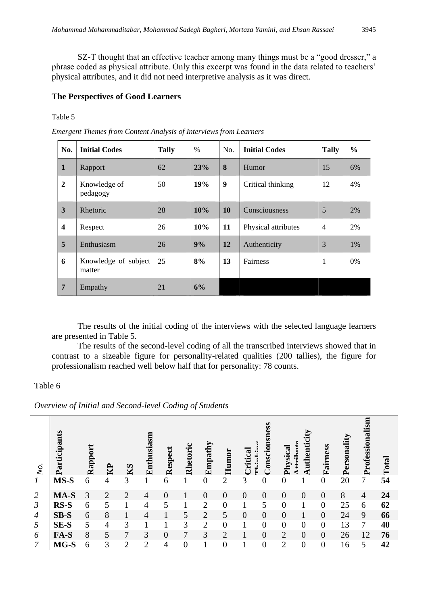SZ-T thought that an effective teacher among many things must be a "good dresser," a phrase coded as physical attribute. Only this excerpt was found in the data related to teachers' physical attributes, and it did not need interpretive analysis as it was direct.

#### **The Perspectives of Good Learners**

Table 5

*Emergent Themes from Content Analysis of Interviews from Learners*

| No.                     | <b>Initial Codes</b>           | <b>Tally</b> | $\%$ | No.       | <b>Initial Codes</b> | <b>Tally</b>   | $\frac{0}{0}$ |
|-------------------------|--------------------------------|--------------|------|-----------|----------------------|----------------|---------------|
| $\mathbf{1}$            | Rapport                        | 62           | 23%  | 8         | Humor                | 15             | 6%            |
| $\overline{2}$          | Knowledge of<br>pedagogy       | 50           | 19%  | 9         | Critical thinking    | 12             | 4%            |
| $\overline{\mathbf{3}}$ | Rhetoric                       | 28           | 10%  | <b>10</b> | Consciousness        | 5              | 2%            |
| $\overline{\mathbf{4}}$ | Respect                        | 26           | 10%  | 11        | Physical attributes  | $\overline{4}$ | 2%            |
| 5                       | Enthusiasm                     | 26           | 9%   | 12        | Authenticity         | 3              | 1%            |
| 6                       | Knowledge of subject<br>matter | - 25         | 8%   | 13        | Fairness             | 1              | $0\%$         |
| $7\phantom{.}$          | Empathy                        | 21           | 6%   |           |                      |                |               |

The results of the initial coding of the interviews with the selected language learners are presented in Table 5.

The results of the second-level coding of all the transcribed interviews showed that in contrast to a sizeable figure for personality-related qualities (200 tallies), the figure for professionalism reached well below half that for personality: 78 counts.

#### Table 6

*Overview of Initial and Second-level Coding of Students*

| No.              | Participants | Rappo | $\mathbf{B}$   | KS             | usiası<br>Enth | Respect        | ౿<br>Rhetori   | Empathy        | Humor          | द्ध<br>Criti<br>÷<br>É | ess<br><b>Consciousn</b> | ${\bf c}$ al<br>Physic | uthenti        | Fairness       | Personali | Professionalism | Total |
|------------------|--------------|-------|----------------|----------------|----------------|----------------|----------------|----------------|----------------|------------------------|--------------------------|------------------------|----------------|----------------|-----------|-----------------|-------|
| $\boldsymbol{l}$ | $MS-S$       | 6     | 4              | 3              |                | 6              |                | $\overline{0}$ | $\overline{2}$ | 3                      | $\overline{0}$           | $\overline{0}$         |                | $\theta$       | 20        | 7               | 54    |
| 2                | MA-S         | 3     | $\overline{2}$ | $\overline{2}$ | 4              | $\theta$       |                | $\overline{0}$ | 0              | $\overline{0}$         | $\overline{0}$           | $\overline{0}$         | $\overline{0}$ | $\overline{0}$ | 8         | $\overline{4}$  | 24    |
| $\mathfrak{Z}$   | RS-S         | 6     | 5              |                | 4              | 5              |                | $\mathfrak{D}$ | 0              |                        | 5                        | $\theta$               |                | $\theta$       | 25        | 6               | 62    |
| $\overline{4}$   | $SB-S$       | 6     | 8              |                | 4              |                | 5              | $\overline{2}$ | 5              | 0                      | $\overline{0}$           | $\overline{0}$         |                | $\overline{0}$ | 24        | 9               | 66    |
| 5                | SE-S         | 5     | 4              | 3              |                |                | 3              | 2              | $\Omega$       |                        | $\Omega$                 | $\theta$               | $\Omega$       | $\Omega$       | 13        | 7               | 40    |
| 6                | FA-S         | 8     | 5              | 7              | 3              | $\overline{0}$ | 7              | 3              | $\overline{2}$ |                        | $\overline{0}$           | $\overline{2}$         | $\overline{0}$ | $\overline{0}$ | 26        | 12              | 76    |
| 7                | MG-S         | 6     | 3              | $\overline{2}$ | $\overline{2}$ | 4              | $\overline{0}$ |                | $\overline{0}$ |                        | $\overline{0}$           | $\overline{2}$         | $\overline{0}$ | $\overline{0}$ | 16        | 5               | 42    |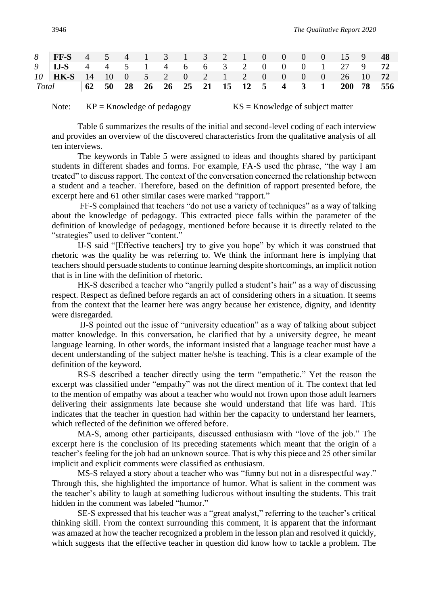| 8   FF-S 4 5 4 1 3 1 3 2 1 0 0 0 0 15 9 48          |  |  |  |  |  |  |  |  |
|-----------------------------------------------------|--|--|--|--|--|--|--|--|
| 9   IJ-S 4 4 5 1 4 6 6 3 2 0 0 0 1 27 9 72          |  |  |  |  |  |  |  |  |
| 10   HK-S 14 10 0 5 2 0 2 1 2 0 0 0 0 26 10 72      |  |  |  |  |  |  |  |  |
| Total 62 50 28 26 26 25 21 15 12 5 4 3 1 200 78 556 |  |  |  |  |  |  |  |  |

Note:  $KP =$ Knowledge of pedagogy  $KS =$ Knowledge of subject matter

Table 6 summarizes the results of the initial and second-level coding of each interview and provides an overview of the discovered characteristics from the qualitative analysis of all ten interviews.

The keywords in Table 5 were assigned to ideas and thoughts shared by participant students in different shades and forms. For example, FA-S used the phrase, "the way I am treated" to discuss rapport. The context of the conversation concerned the relationship between a student and a teacher. Therefore, based on the definition of rapport presented before, the excerpt here and 61 other similar cases were marked "rapport."

FF-S complained that teachers "do not use a variety of techniques" as a way of talking about the knowledge of pedagogy. This extracted piece falls within the parameter of the definition of knowledge of pedagogy, mentioned before because it is directly related to the "strategies" used to deliver "content."

IJ-S said "[Effective teachers] try to give you hope" by which it was construed that rhetoric was the quality he was referring to. We think the informant here is implying that teachers should persuade students to continue learning despite shortcomings, an implicit notion that is in line with the definition of rhetoric.

HK-S described a teacher who "angrily pulled a student's hair" as a way of discussing respect. Respect as defined before regards an act of considering others in a situation. It seems from the context that the learner here was angry because her existence, dignity, and identity were disregarded.

IJ-S pointed out the issue of "university education" as a way of talking about subject matter knowledge. In this conversation, he clarified that by a university degree, he meant language learning. In other words, the informant insisted that a language teacher must have a decent understanding of the subject matter he/she is teaching. This is a clear example of the definition of the keyword.

RS-S described a teacher directly using the term "empathetic." Yet the reason the excerpt was classified under "empathy" was not the direct mention of it. The context that led to the mention of empathy was about a teacher who would not frown upon those adult learners delivering their assignments late because she would understand that life was hard. This indicates that the teacher in question had within her the capacity to understand her learners, which reflected of the definition we offered before.

MA-S, among other participants, discussed enthusiasm with "love of the job." The excerpt here is the conclusion of its preceding statements which meant that the origin of a teacher's feeling for the job had an unknown source. That is why this piece and 25 other similar implicit and explicit comments were classified as enthusiasm.

MS-S relayed a story about a teacher who was "funny but not in a disrespectful way." Through this, she highlighted the importance of humor. What is salient in the comment was the teacher's ability to laugh at something ludicrous without insulting the students. This trait hidden in the comment was labeled "humor."

SE-S expressed that his teacher was a "great analyst," referring to the teacher's critical thinking skill. From the context surrounding this comment, it is apparent that the informant was amazed at how the teacher recognized a problem in the lesson plan and resolved it quickly, which suggests that the effective teacher in question did know how to tackle a problem. The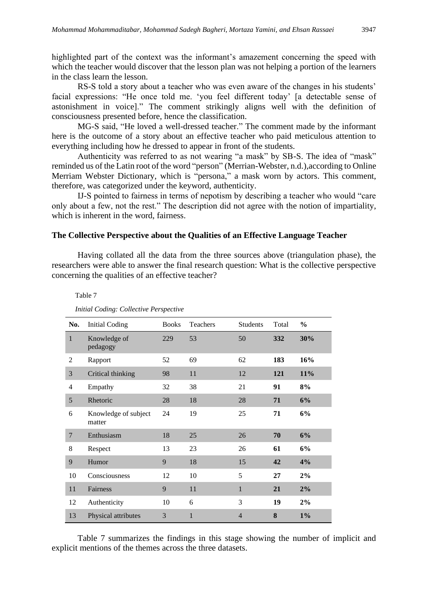highlighted part of the context was the informant's amazement concerning the speed with which the teacher would discover that the lesson plan was not helping a portion of the learners in the class learn the lesson.

RS-S told a story about a teacher who was even aware of the changes in his students' facial expressions: "He once told me. 'you feel different today' [a detectable sense of astonishment in voice]." The comment strikingly aligns well with the definition of consciousness presented before, hence the classification.

MG-S said, "He loved a well-dressed teacher." The comment made by the informant here is the outcome of a story about an effective teacher who paid meticulous attention to everything including how he dressed to appear in front of the students.

Authenticity was referred to as not wearing "a mask" by SB-S. The idea of "mask" reminded us of the Latin root of the word "person" (Merrian-Webster, n.d.),according to Online Merriam Webster Dictionary, which is "persona," a mask worn by actors. This comment, therefore, was categorized under the keyword, authenticity.

IJ-S pointed to fairness in terms of nepotism by describing a teacher who would "care only about a few, not the rest." The description did not agree with the notion of impartiality, which is inherent in the word, fairness.

#### **The Collective Perspective about the Qualities of an Effective Language Teacher**

Having collated all the data from the three sources above (triangulation phase), the researchers were able to answer the final research question: What is the collective perspective concerning the qualities of an effective teacher?

| No.            | <b>Initial Coding</b>          | <b>Books</b> | Teachers     | <b>Students</b> | Total      | $\frac{0}{0}$ |
|----------------|--------------------------------|--------------|--------------|-----------------|------------|---------------|
| $\mathbf{1}$   | Knowledge of<br>pedagogy       | 229          | 53           | 50              | 332        | 30%           |
| 2              | Rapport                        | 52           | 69           | 62              | 183        | 16%           |
| 3              | Critical thinking              | 98           | 11           | 12              | <b>121</b> | 11%           |
| 4              | Empathy                        | 32           | 38           | 21              | 91         | 8%            |
| 5              | Rhetoric                       | 28           | 18           | 28              | 71         | 6%            |
| 6              | Knowledge of subject<br>matter | 24           | 19           | 25              | 71         | 6%            |
| $\overline{7}$ | Enthusiasm                     | 18           | 25           | 26              | 70         | 6%            |
| 8              | Respect                        | 13           | 23           | 26              | 61         | 6%            |
| 9              | Humor                          | 9            | 18           | 15              | 42         | 4%            |
| 10             | Consciousness                  | 12           | 10           | 5               | 27         | 2%            |
| 11             | Fairness                       | 9            | 11           | $\mathbf{1}$    | 21         | 2%            |
| 12             | Authenticity                   | 10           | 6            | 3               | 19         | 2%            |
| 13             | Physical attributes            | 3            | $\mathbf{1}$ | $\overline{4}$  | 8          | $1\%$         |

*Initial Coding: Collective Perspective*

Table 7

Table 7 summarizes the findings in this stage showing the number of implicit and explicit mentions of the themes across the three datasets.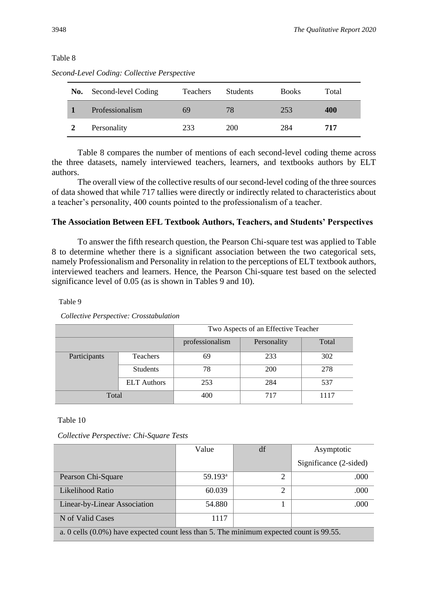#### Table 8

| No. | Second-level Coding | <b>Teachers</b> | <b>Students</b> | <b>Books</b> | Total |
|-----|---------------------|-----------------|-----------------|--------------|-------|
|     | Professionalism     | 69              | 78              | 253          | 400   |
|     | Personality         | 233             | 200             | 284          | 717   |

*Second-Level Coding: Collective Perspective*

Table 8 compares the number of mentions of each second-level coding theme across the three datasets, namely interviewed teachers, learners, and textbooks authors by ELT authors.

The overall view of the collective results of our second-level coding of the three sources of data showed that while 717 tallies were directly or indirectly related to characteristics about a teacher's personality, 400 counts pointed to the professionalism of a teacher.

### **The Association Between EFL Textbook Authors, Teachers, and Students' Perspectives**

To answer the fifth research question, the Pearson Chi-square test was applied to Table 8 to determine whether there is a significant association between the two categorical sets, namely Professionalism and Personality in relation to the perceptions of ELT textbook authors, interviewed teachers and learners. Hence, the Pearson Chi-square test based on the selected significance level of 0.05 (as is shown in Tables 9 and 10).

Table 9

|              |                    | Two Aspects of an Effective Teacher |             |       |  |  |  |  |
|--------------|--------------------|-------------------------------------|-------------|-------|--|--|--|--|
|              |                    | professionalism                     | Personality | Total |  |  |  |  |
| Participants | Teachers           | 69                                  | 233         | 302   |  |  |  |  |
|              | <b>Students</b>    | 78                                  | 200         | 278   |  |  |  |  |
|              | <b>ELT</b> Authors | 253                                 | 284         | 537   |  |  |  |  |
| Total        |                    | 400                                 | 717         | 1117  |  |  |  |  |

*Collective Perspective: Crosstabulation*

Table 10

*Collective Perspective: Chi-Square Tests*

|                                                                                         | Value               | df             | Asymptotic             |
|-----------------------------------------------------------------------------------------|---------------------|----------------|------------------------|
|                                                                                         |                     |                | Significance (2-sided) |
| Pearson Chi-Square                                                                      | 59.193 <sup>a</sup> | $\overline{2}$ | .000                   |
| Likelihood Ratio                                                                        | 60.039              | 2              | .000                   |
| Linear-by-Linear Association                                                            | 54.880              |                | .000                   |
| N of Valid Cases                                                                        | 1117                |                |                        |
| a. 0 cells (0.0%) have expected count less than 5. The minimum expected count is 99.55. |                     |                |                        |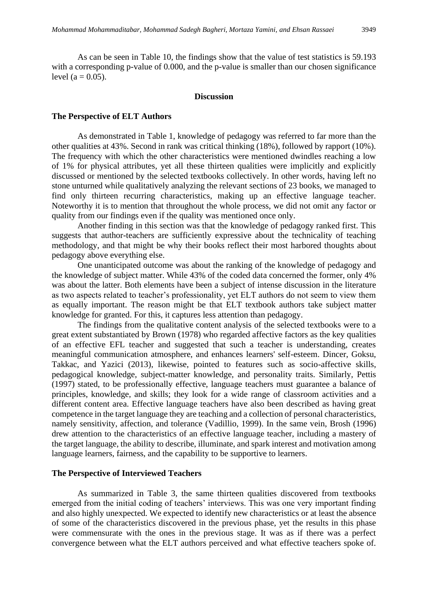As can be seen in Table 10, the findings show that the value of test statistics is 59.193 with a corresponding p-value of 0.000, and the p-value is smaller than our chosen significance level  $(a = 0.05)$ .

#### **Discussion**

#### **The Perspective of ELT Authors**

As demonstrated in Table 1, knowledge of pedagogy was referred to far more than the other qualities at 43%. Second in rank was critical thinking (18%), followed by rapport (10%). The frequency with which the other characteristics were mentioned dwindles reaching a low of 1% for physical attributes, yet all these thirteen qualities were implicitly and explicitly discussed or mentioned by the selected textbooks collectively. In other words, having left no stone unturned while qualitatively analyzing the relevant sections of 23 books, we managed to find only thirteen recurring characteristics, making up an effective language teacher. Noteworthy it is to mention that throughout the whole process, we did not omit any factor or quality from our findings even if the quality was mentioned once only.

Another finding in this section was that the knowledge of pedagogy ranked first. This suggests that author-teachers are sufficiently expressive about the technicality of teaching methodology, and that might be why their books reflect their most harbored thoughts about pedagogy above everything else.

One unanticipated outcome was about the ranking of the knowledge of pedagogy and the knowledge of subject matter. While 43% of the coded data concerned the former, only 4% was about the latter. Both elements have been a subject of intense discussion in the literature as two aspects related to teacher's professionality, yet ELT authors do not seem to view them as equally important. The reason might be that ELT textbook authors take subject matter knowledge for granted. For this, it captures less attention than pedagogy.

The findings from the qualitative content analysis of the selected textbooks were to a great extent substantiated by Brown (1978) who regarded affective factors as the key qualities of an effective EFL teacher and suggested that such a teacher is understanding, creates meaningful communication atmosphere, and enhances learners' self-esteem. Dincer, Goksu, Takkac, and Yazici (2013), likewise, pointed to features such as socio-affective skills, pedagogical knowledge, subject-matter knowledge, and personality traits. Similarly, Pettis (1997) stated, to be professionally effective, language teachers must guarantee a balance of principles, knowledge, and skills; they look for a wide range of classroom activities and a different content area. Effective language teachers have also been described as having great competence in the target language they are teaching and a collection of personal characteristics, namely sensitivity, affection, and tolerance (Vadillio, 1999). In the same vein, Brosh (1996) drew attention to the characteristics of an effective language teacher, including a mastery of the target language, the ability to describe, illuminate, and spark interest and motivation among language learners, fairness, and the capability to be supportive to learners.

#### **The Perspective of Interviewed Teachers**

As summarized in Table 3, the same thirteen qualities discovered from textbooks emerged from the initial coding of teachers' interviews. This was one very important finding and also highly unexpected. We expected to identify new characteristics or at least the absence of some of the characteristics discovered in the previous phase, yet the results in this phase were commensurate with the ones in the previous stage. It was as if there was a perfect convergence between what the ELT authors perceived and what effective teachers spoke of.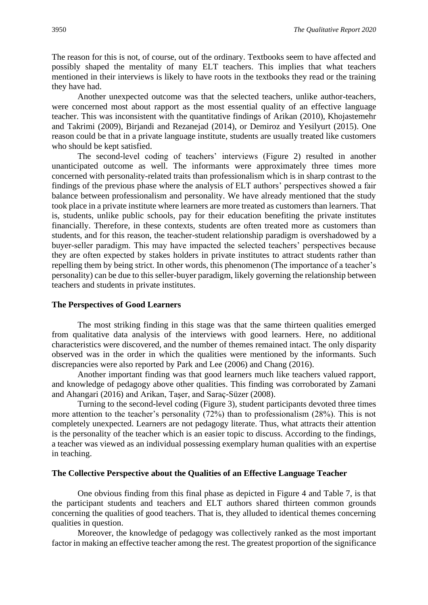The reason for this is not, of course, out of the ordinary. Textbooks seem to have affected and possibly shaped the mentality of many ELT teachers. This implies that what teachers mentioned in their interviews is likely to have roots in the textbooks they read or the training they have had.

Another unexpected outcome was that the selected teachers, unlike author-teachers, were concerned most about rapport as the most essential quality of an effective language teacher. This was inconsistent with the quantitative findings of Arikan (2010), Khojastemehr and Takrimi (2009), Birjandi and Rezanejad (2014), or Demiroz and Yesilyurt (2015). One reason could be that in a private language institute, students are usually treated like customers who should be kept satisfied.

The second-level coding of teachers' interviews (Figure 2) resulted in another unanticipated outcome as well. The informants were approximately three times more concerned with personality-related traits than professionalism which is in sharp contrast to the findings of the previous phase where the analysis of ELT authors' perspectives showed a fair balance between professionalism and personality. We have already mentioned that the study took place in a private institute where learners are more treated as customers than learners. That is, students, unlike public schools, pay for their education benefiting the private institutes financially. Therefore, in these contexts, students are often treated more as customers than students, and for this reason, the teacher-student relationship paradigm is overshadowed by a buyer-seller paradigm. This may have impacted the selected teachers' perspectives because they are often expected by stakes holders in private institutes to attract students rather than repelling them by being strict. In other words, this phenomenon (The importance of a teacher's personality) can be due to this seller-buyer paradigm, likely governing the relationship between teachers and students in private institutes.

#### **The Perspectives of Good Learners**

The most striking finding in this stage was that the same thirteen qualities emerged from qualitative data analysis of the interviews with good learners. Here, no additional characteristics were discovered, and the number of themes remained intact. The only disparity observed was in the order in which the qualities were mentioned by the informants. Such discrepancies were also reported by Park and Lee (2006) and Chang (2016).

Another important finding was that good learners much like teachers valued rapport, and knowledge of pedagogy above other qualities. This finding was corroborated by Zamani and Ahangari (2016) and Arikan, Taşer, and Saraç-Süzer (2008).

Turning to the second-level coding (Figure 3), student participants devoted three times more attention to the teacher's personality (72%) than to professionalism (28%). This is not completely unexpected. Learners are not pedagogy literate. Thus, what attracts their attention is the personality of the teacher which is an easier topic to discuss. According to the findings, a teacher was viewed as an individual possessing exemplary human qualities with an expertise in teaching.

#### **The Collective Perspective about the Qualities of an Effective Language Teacher**

One obvious finding from this final phase as depicted in Figure 4 and Table 7, is that the participant students and teachers and ELT authors shared thirteen common grounds concerning the qualities of good teachers. That is, they alluded to identical themes concerning qualities in question.

Moreover, the knowledge of pedagogy was collectively ranked as the most important factor in making an effective teacher among the rest. The greatest proportion of the significance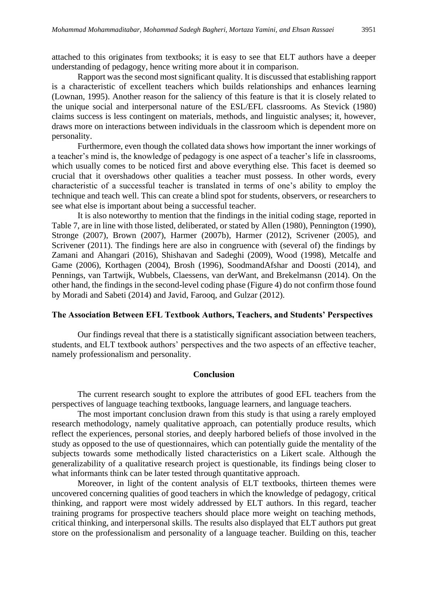attached to this originates from textbooks; it is easy to see that ELT authors have a deeper understanding of pedagogy, hence writing more about it in comparison.

Rapport was the second most significant quality. It is discussed that establishing rapport is a characteristic of excellent teachers which builds relationships and enhances learning (Lownan, 1995). Another reason for the saliency of this feature is that it is closely related to the unique social and interpersonal nature of the ESL/EFL classrooms. As Stevick (1980) claims success is less contingent on materials, methods, and linguistic analyses; it, however, draws more on interactions between individuals in the classroom which is dependent more on personality.

Furthermore, even though the collated data shows how important the inner workings of a teacher's mind is, the knowledge of pedagogy is one aspect of a teacher's life in classrooms, which usually comes to be noticed first and above everything else. This facet is deemed so crucial that it overshadows other qualities a teacher must possess. In other words, every characteristic of a successful teacher is translated in terms of one's ability to employ the technique and teach well. This can create a blind spot for students, observers, or researchers to see what else is important about being a successful teacher.

It is also noteworthy to mention that the findings in the initial coding stage, reported in Table 7, are in line with those listed, deliberated, or stated by Allen (1980), Pennington (1990), Stronge (2007), Brown (2007), Harmer (2007b), Harmer (2012), Scrivener (2005), and Scrivener (2011). The findings here are also in congruence with (several of) the findings by Zamani and Ahangari (2016), Shishavan and Sadeghi (2009), Wood (1998), Metcalfe and Game (2006), Korthagen (2004), Brosh (1996), SoodmandAfshar and Doosti (2014), and Pennings, van Tartwijk, Wubbels, Claessens, van derWant, and Brekelmansn (2014). On the other hand, the findings in the second-level coding phase (Figure 4) do not confirm those found by Moradi and Sabeti (2014) and Javid, Farooq, and Gulzar (2012).

#### **The Association Between EFL Textbook Authors, Teachers, and Students' Perspectives**

Our findings reveal that there is a statistically significant association between teachers, students, and ELT textbook authors' perspectives and the two aspects of an effective teacher, namely professionalism and personality.

#### **Conclusion**

The current research sought to explore the attributes of good EFL teachers from the perspectives of language teaching textbooks, language learners, and language teachers.

The most important conclusion drawn from this study is that using a rarely employed research methodology, namely qualitative approach, can potentially produce results, which reflect the experiences, personal stories, and deeply harbored beliefs of those involved in the study as opposed to the use of questionnaires, which can potentially guide the mentality of the subjects towards some methodically listed characteristics on a Likert scale. Although the generalizability of a qualitative research project is questionable, its findings being closer to what informants think can be later tested through quantitative approach.

Moreover, in light of the content analysis of ELT textbooks, thirteen themes were uncovered concerning qualities of good teachers in which the knowledge of pedagogy, critical thinking, and rapport were most widely addressed by ELT authors. In this regard, teacher training programs for prospective teachers should place more weight on teaching methods, critical thinking, and interpersonal skills. The results also displayed that ELT authors put great store on the professionalism and personality of a language teacher. Building on this, teacher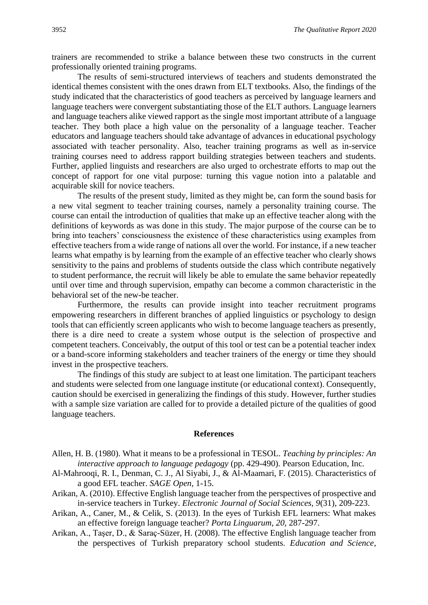trainers are recommended to strike a balance between these two constructs in the current professionally oriented training programs.

The results of semi-structured interviews of teachers and students demonstrated the identical themes consistent with the ones drawn from ELT textbooks. Also, the findings of the study indicated that the characteristics of good teachers as perceived by language learners and language teachers were convergent substantiating those of the ELT authors. Language learners and language teachers alike viewed rapport as the single most important attribute of a language teacher. They both place a high value on the personality of a language teacher. Teacher educators and language teachers should take advantage of advances in educational psychology associated with teacher personality. Also, teacher training programs as well as in-service training courses need to address rapport building strategies between teachers and students. Further, applied linguists and researchers are also urged to orchestrate efforts to map out the concept of rapport for one vital purpose: turning this vague notion into a palatable and acquirable skill for novice teachers.

The results of the present study, limited as they might be, can form the sound basis for a new vital segment to teacher training courses, namely a personality training course. The course can entail the introduction of qualities that make up an effective teacher along with the definitions of keywords as was done in this study. The major purpose of the course can be to bring into teachers' consciousness the existence of these characteristics using examples from effective teachers from a wide range of nations all over the world. For instance, if a new teacher learns what empathy is by learning from the example of an effective teacher who clearly shows sensitivity to the pains and problems of students outside the class which contribute negatively to student performance, the recruit will likely be able to emulate the same behavior repeatedly until over time and through supervision, empathy can become a common characteristic in the behavioral set of the new-be teacher.

Furthermore, the results can provide insight into teacher recruitment programs empowering researchers in different branches of applied linguistics or psychology to design tools that can efficiently screen applicants who wish to become language teachers as presently, there is a dire need to create a system whose output is the selection of prospective and competent teachers. Conceivably, the output of this tool or test can be a potential teacher index or a band-score informing stakeholders and teacher trainers of the energy or time they should invest in the prospective teachers.

The findings of this study are subject to at least one limitation. The participant teachers and students were selected from one language institute (or educational context). Consequently, caution should be exercised in generalizing the findings of this study. However, further studies with a sample size variation are called for to provide a detailed picture of the qualities of good language teachers.

#### **References**

- Allen, H. B. (1980). What it means to be a professional in TESOL. *Teaching by principles: An interactive approach to language pedagogy* (pp. 429-490). Pearson Education, Inc.
- Al-Mahrooqi, R. I., Denman, C. J., Al Siyabi, J., & Al-Maamari, F. (2015). Characteristics of a good EFL teacher. *SAGE Open*, 1-15.
- Arikan, A. (2010). Effective English language teacher from the perspectives of prospective and in-service teachers in Turkey. *Electronic Journal of Social Sciences, 9*(31), 209-223.
- Arikan, A., Caner, M., & Celik, S. (2013). In the eyes of Turkish EFL learners: What makes an effective foreign language teacher? *Porta Linguarum, 20*, 287-297.
- Arikan, A., Taşer, D., & Saraç-Süzer, H. (2008). The effective English language teacher from the perspectives of Turkish preparatory school students. *Education and Science*,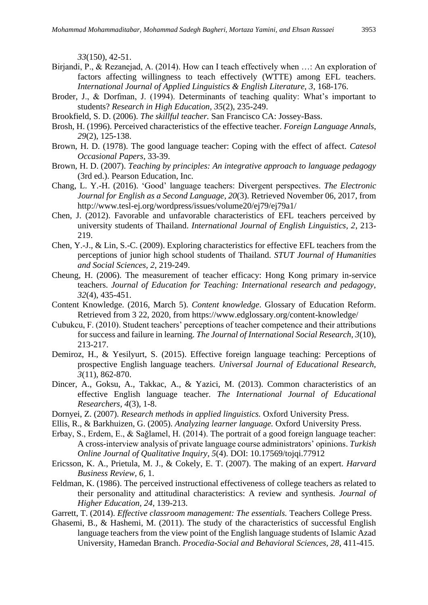*33*(150), 42-51.

- Birjandi, P., & Rezanejad, A. (2014). How can I teach effectively when …: An exploration of factors affecting willingness to teach effectively (WTTE) among EFL teachers. *International Journal of Applied Linguistics & English Literature, 3*, 168-176.
- Broder, J., & Dorfman, J. (1994). Determinants of teaching quality: What's important to students? *Research in High Education, 35*(2), 235-249.
- Brookfield, S. D. (2006). *The skillful teacher.* San Francisco CA: Jossey-Bass.
- Brosh, H. (1996). Perceived characteristics of the effective teacher. *Foreign Language Annals*, *29*(2), 125-138.
- Brown, H. D. (1978). The good language teacher: Coping with the effect of affect. *Catesol Occasional Papers*, 33-39.
- Brown, H. D. (2007). *Teaching by principles: An integrative approach to language pedagogy* (3rd ed.). Pearson Education, Inc.
- Chang, L. Y.-H. (2016). 'Good' language teachers: Divergent perspectives. *The Electronic Journal for English as a Second Language, 20*(3). Retrieved November 06, 2017, from http://www.tesl-ej.org/wordpress/issues/volume20/ej79/ej79a1/
- Chen, J. (2012). Favorable and unfavorable characteristics of EFL teachers perceived by university students of Thailand. *International Journal of English Linguistics, 2*, 213- 219.
- Chen, Y.-J., & Lin, S.-C. (2009). Exploring characteristics for effective EFL teachers from the perceptions of junior high school students of Thailand. *STUT Journal of Humanities and Social Sciences, 2*, 219-249.
- Cheung, H. (2006). The measurement of teacher efficacy: Hong Kong primary in-service teachers. *Journal of Education for Teaching: International research and pedagogy, 32*(4), 435-451.
- Content Knowledge. (2016, March 5). *Content knowledge*. Glossary of Education Reform. Retrieved from 3 22, 2020, from https://www.edglossary.org/content-knowledge/
- Cubukcu, F. (2010). Student teachers' perceptions of teacher competence and their attributions for success and failure in learning. *The Journal of International Social Research, 3*(10), 213-217.
- Demiroz, H., & Yesilyurt, S. (2015). Effective foreign language teaching: Perceptions of prospective English language teachers. *Universal Journal of Educational Research, 3*(11), 862-870.
- Dincer, A., Goksu, A., Takkac, A., & Yazici, M. (2013). Common characteristics of an effective English language teacher. *The International Journal of Educational Researchers, 4*(3), 1-8.
- Dornyei, Z. (2007). *Research methods in applied linguistics.* Oxford University Press.
- Ellis, R., & Barkhuizen, G. (2005). *Analyzing learner language.* Oxford University Press.
- Erbay, S., Erdem, E., & Sağlamel, H. (2014). The portrait of a good foreign language teacher: A cross-interview analysis of private language course administrators' opinions. *Turkish Online Journal of Qualitative Inquiry, 5*(4). DOI: 10.17569/tojqi.77912
- Ericsson, K. A., Prietula, M. J., & Cokely, E. T. (2007). The making of an expert. *Harvard Business Review, 6*, 1.
- Feldman, K. (1986). The perceived instructional effectiveness of college teachers as related to their personality and attitudinal characteristics: A review and synthesis. *Journal of Higher Education, 24*, 139-213.
- Garrett, T. (2014). *Effective classroom management: The essentials.* Teachers College Press.
- Ghasemi, B., & Hashemi, M. (2011). The study of the characteristics of successful English language teachers from the view point of the English language students of Islamic Azad University, Hamedan Branch. *Procedia-Social and Behavioral Sciences, 28*, 411-415.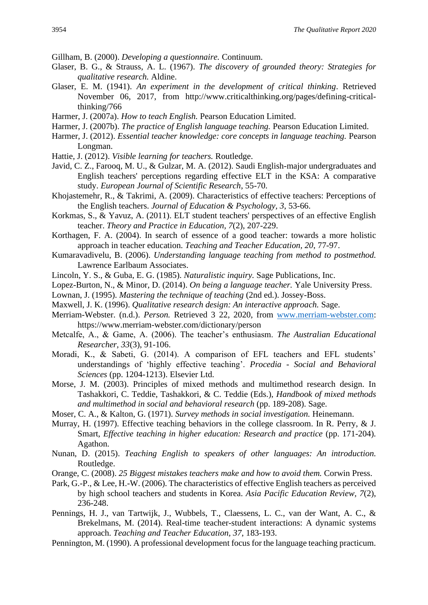Gillham, B. (2000). *Developing a questionnaire.* Continuum.

- Glaser, B. G., & Strauss, A. L. (1967). *The discovery of grounded theory: Strategies for qualitative research.* Aldine.
- Glaser, E. M. (1941). *An experiment in the development of critical thinking*. Retrieved November 06, 2017, from http://www.criticalthinking.org/pages/defining-criticalthinking/766
- Harmer, J. (2007a). *How to teach English.* Pearson Education Limited.
- Harmer, J. (2007b). *The practice of English language teaching.* Pearson Education Limited.
- Harmer, J. (2012). *Essential teacher knowledge: core concepts in language teaching.* Pearson Longman.
- Hattie, J. (2012). *Visible learning for teachers.* Routledge.
- Javid, C. Z., Farooq, M. U., & Gulzar, M. A. (2012). Saudi English-major undergraduates and English teachers' perceptions regarding effective ELT in the KSA: A comparative study. *European Journal of Scientific Research*, 55-70.
- Khojastemehr, R., & Takrimi, A. (2009). Characteristics of effective teachers: Perceptions of the English teachers. *Journal of Education & Psychology, 3*, 53-66.
- Korkmas, S., & Yavuz, A. (2011). ELT student teachers' perspectives of an effective English teacher. *Theory and Practice in Education, 7*(2), 207-229.
- Korthagen, F. A. (2004). In search of essence of a good teacher: towards a more holistic approach in teacher education. *Teaching and Teacher Education, 20*, 77-97.
- Kumaravadivelu, B. (2006). *Understanding language teaching from method to postmethod.* Lawrence Earlbaum Associates.
- Lincoln, Y. S., & Guba, E. G. (1985). *Naturalistic inquiry.* Sage Publications, Inc.
- Lopez-Burton, N., & Minor, D. (2014). *On being a language teacher.* Yale University Press.
- Lownan, J. (1995). *Mastering the technique of teaching* (2nd ed.). Jossey-Boss.
- Maxwell, J. K. (1996). *Qualitative research design: An interactive approach.* Sage.
- Merriam-Webster. (n.d.). *Person.* Retrieved 3 22, 2020, from [www.merriam-webster.com:](http://www.merriam-webster.com/) https://www.merriam-webster.com/dictionary/person
- Metcalfe, A., & Game, A. (2006). The teacher's enthusiasm. *The Australian Educational Researcher, 33*(3), 91-106.
- Moradi, K., & Sabeti, G. (2014). A comparison of EFL teachers and EFL students' understandings of 'highly effective teaching'. *Procedia - Social and Behavioral Sciences* (pp. 1204-1213). Elsevier Ltd.
- Morse, J. M. (2003). Principles of mixed methods and multimethod research design. In Tashakkori, C. Teddie, Tashakkori, & C. Teddie (Eds.), *Handbook of mixed methods and multimethod in social and behavioral research* (pp. 189-208). Sage.
- Moser, C. A., & Kalton, G. (1971). *Survey methods in social investigation.* Heinemann.
- Murray, H. (1997). Effective teaching behaviors in the college classroom. In R. Perry, & J. Smart, *Effective teaching in higher education: Research and practice* (pp. 171-204)*.* Agathon.
- Nunan, D. (2015). *Teaching English to speakers of other languages: An introduction.* Routledge.
- Orange, C. (2008). *25 Biggest mistakes teachers make and how to avoid them.* Corwin Press.
- Park, G.-P., & Lee, H.-W. (2006). The characteristics of effective English teachers as perceived by high school teachers and students in Korea. *Asia Pacific Education Review, 7*(2), 236-248.
- Pennings, H. J., van Tartwijk, J., Wubbels, T., Claessens, L. C., van der Want, A. C., & Brekelmans, M. (2014). Real-time teacher-student interactions: A dynamic systems approach. *Teaching and Teacher Education, 37*, 183-193.
- Pennington, M. (1990). A professional development focus for the language teaching practicum.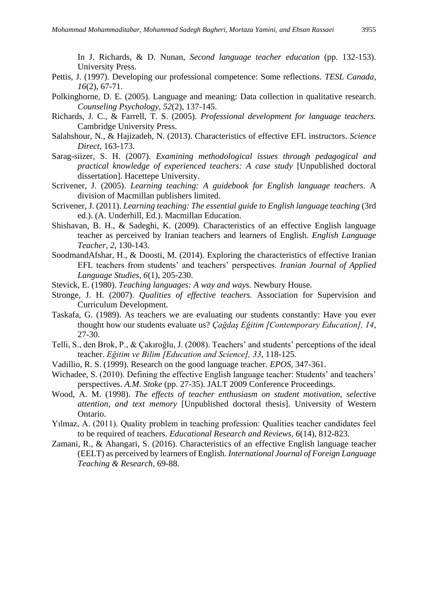In J. Richards, & D. Nunan, *Second language teacher education* (pp. 132-153). University Press.

- Pettis, J. (1997). Developing our professional competence: Some reflections. *TESL Canada, 16*(2), 67-71.
- Polkinghorne, D. E. (2005). Language and meaning: Data collection in qualitative research. *Counseling Psychology, 52*(2), 137-145.
- Richards, J. C., & Farrell, T. S. (2005). *Professional development for language teachers.* Cambridge University Press.
- Salahshour, N., & Hajizadeh, N. (2013). Characteristics of effective EFL instructors. *Science Direct*, 163-173.
- Sarag-siizer, S. H. (2007). *Examining methodological issues through pedagogical and practical knowledge of experienced teachers: A case study* [Unpublished doctoral dissertation]. Hacettepe University.
- Scrivener, J. (2005). *Learning teaching: A guidebook for English language teachers.* A division of Macmillan publishers limited.
- Scrivener, J. (2011). *Learning teaching: The essential guide to English language teaching* (3rd ed.). (A. Underhill, Ed.). Macmillan Education.
- Shishavan, B. H., & Sadeghi, K. (2009). Characteristics of an effective English language teacher as perceived by Iranian teachers and learners of English. *English Language Teacher, 2*, 130-143.
- SoodmandAfshar, H., & Doosti, M. (2014). Exploring the characteristics of effective Iranian EFL teachers from students' and teachers' perspectives. *Iranian Journal of Applied Language Studies, 6*(1), 205-230.
- Stevick, E. (1980). *Teaching languages: A way and ways.* Newbury House.
- Stronge, J. H. (2007). *Qualities of effective teachers.* Association for Supervision and Curriculum Development.
- Taskafa, G. (1989). As teachers we are evaluating our students constantly: Have you ever thought how our students evaluate us? *Çağdaş Eğitim [Contemporary Education], 14*, 27-30.
- Telli, S., den Brok, P., & Çakıroğlu, J. (2008). Teachers' and students' perceptions of the ideal teacher. *Eğitim ve Bilim [Education and Science], 33*, 118-125.
- Vadillio, R. S. (1999). Research on the good language teacher. *EPOS*, 347-361.
- Wichadee, S. (2010). Defining the effective English language teacher: Students' and teachers' perspectives. *A.M. Stoke* (pp. 27-35). JALT 2009 Conference Proceedings.
- Wood, A. M. (1998). *The effects of teacher enthusiasm on student motivation, selective attention, and text memory* [Unpublished doctoral thesis]. University of Western Ontario.
- Yılmaz, A. (2011). Quality problem in teaching profession: Qualities teacher candidates feel to be required of teachers. *Educational Research and Reviews, 6*(14), 812-823.
- Zamani, R., & Ahangari, S. (2016). Characteristics of an effective English language teacher (EELT) as perceived by learners of English. *International Journal of Foreign Language Teaching & Research*, 69-88.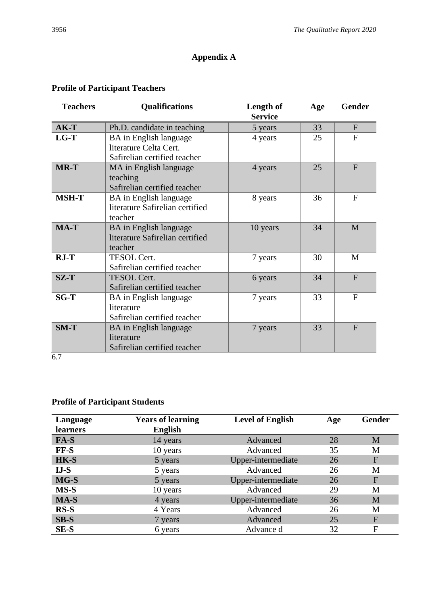## **Appendix A**

## **Profile of Participant Teachers**

| <b>Teachers</b> | <b>Qualifications</b>                                                            | Length of<br><b>Service</b> | Age | <b>Gender</b> |
|-----------------|----------------------------------------------------------------------------------|-----------------------------|-----|---------------|
| $AK-T$          | Ph.D. candidate in teaching                                                      | 5 years                     | 33  | $\mathbf{F}$  |
| $LG-T$          | BA in English language<br>literature Celta Cert.<br>Safirelian certified teacher | 4 years                     | 25  | F             |
| <b>MR-T</b>     | MA in English language<br>teaching<br>Safirelian certified teacher               | 4 years                     | 25  | $\mathbf{F}$  |
| <b>MSH-T</b>    | BA in English language<br>literature Safirelian certified<br>teacher             | 8 years                     | 36  | $\mathbf{F}$  |
| MA-T            | <b>BA</b> in English language<br>literature Safirelian certified<br>teacher      | 10 years                    | 34  | M             |
| $RJ-T$          | TESOL Cert.<br>Safirelian certified teacher                                      | 7 years                     | 30  | M             |
| $SZ-T$          | <b>TESOL Cert.</b><br>Safirelian certified teacher                               | 6 years                     | 34  | F             |
| $SG-T$          | BA in English language<br>literature<br>Safirelian certified teacher             | 7 years                     | 33  | $\mathbf{F}$  |
| $SM-T$          | BA in English language<br>literature<br>Safirelian certified teacher             | 7 years                     | 33  | F             |

## 6.7

## **Profile of Participant Students**

| Language        | <b>Years of learning</b> | <b>Level of English</b> | Age | <b>Gender</b> |
|-----------------|--------------------------|-------------------------|-----|---------------|
| <b>learners</b> | <b>English</b>           |                         |     |               |
| FA-S            | 14 years                 | Advanced                | 28  | M             |
| FF-S            | 10 years                 | Advanced                | 35  | M             |
| HK-S            | 5 years                  | Upper-intermediate      | 26  | ${\bf F}$     |
| $IJ-S$          | 5 years                  | Advanced                | 26  | M             |
| MG-S            | 5 years                  | Upper-intermediate      | 26  | $\mathbf{F}$  |
| MS-S            | 10 years                 | Advanced                | 29  | M             |
| MA-S            | 4 years                  | Upper-intermediate      | 36  | M             |
| $RS-S$          | 4 Years                  | Advanced                | 26  | M             |
| $SB-S$          | 7 years                  | Advanced                | 25  | F             |
| <b>SE-S</b>     | 6 years                  | Advance d               | 32  | F             |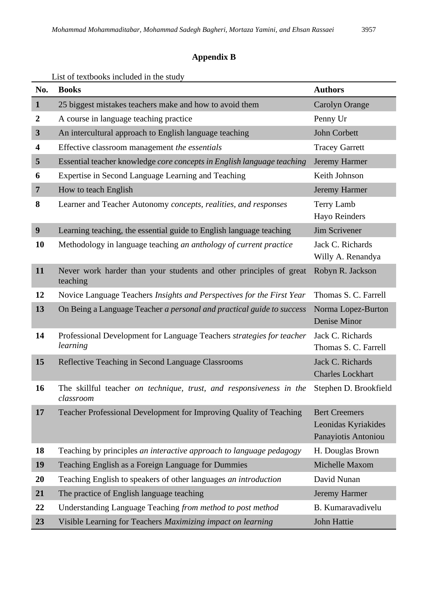## **Appendix B**

## List of textbooks included in the study

| No.                     | <b>Books</b>                                                                      | <b>Authors</b>                                                     |
|-------------------------|-----------------------------------------------------------------------------------|--------------------------------------------------------------------|
| $\mathbf{1}$            | 25 biggest mistakes teachers make and how to avoid them                           | <b>Carolyn Orange</b>                                              |
| $\boldsymbol{2}$        | A course in language teaching practice                                            | Penny Ur                                                           |
| $\overline{\mathbf{3}}$ | An intercultural approach to English language teaching                            | John Corbett                                                       |
| 4                       | Effective classroom management the essentials                                     | <b>Tracey Garrett</b>                                              |
| 5                       | Essential teacher knowledge core concepts in English language teaching            | Jeremy Harmer                                                      |
| 6                       | Expertise in Second Language Learning and Teaching                                | Keith Johnson                                                      |
| 7                       | How to teach English                                                              | Jeremy Harmer                                                      |
| 8                       | Learner and Teacher Autonomy concepts, realities, and responses                   | <b>Terry Lamb</b><br><b>Hayo Reinders</b>                          |
| $\boldsymbol{9}$        | Learning teaching, the essential guide to English language teaching               | Jim Scrivener                                                      |
| 10                      | Methodology in language teaching an anthology of current practice                 | Jack C. Richards<br>Willy A. Renandya                              |
| 11                      | Never work harder than your students and other principles of great<br>teaching    | Robyn R. Jackson                                                   |
| 12                      | Novice Language Teachers Insights and Perspectives for the First Year             | Thomas S. C. Farrell                                               |
| 13                      | On Being a Language Teacher a personal and practical guide to success             | Norma Lopez-Burton<br>Denise Minor                                 |
| 14                      | Professional Development for Language Teachers strategies for teacher<br>learning | Jack C. Richards<br>Thomas S. C. Farrell                           |
| 15                      | Reflective Teaching in Second Language Classrooms                                 | Jack C. Richards<br><b>Charles Lockhart</b>                        |
| 16                      | The skillful teacher on technique, trust, and responsiveness in the<br>classroom  | Stephen D. Brookfield                                              |
| 17                      | Teacher Professional Development for Improving Quality of Teaching                | <b>Bert Creemers</b><br>Leonidas Kyriakides<br>Panayiotis Antoniou |
| 18                      | Teaching by principles an interactive approach to language pedagogy               | H. Douglas Brown                                                   |
| 19                      | Teaching English as a Foreign Language for Dummies                                | Michelle Maxom                                                     |
| 20                      | Teaching English to speakers of other languages an introduction                   | David Nunan                                                        |
| 21                      | The practice of English language teaching                                         | Jeremy Harmer                                                      |
| 22                      | Understanding Language Teaching from method to post method                        | B. Kumaravadivelu                                                  |
| 23                      | Visible Learning for Teachers Maximizing impact on learning                       | John Hattie                                                        |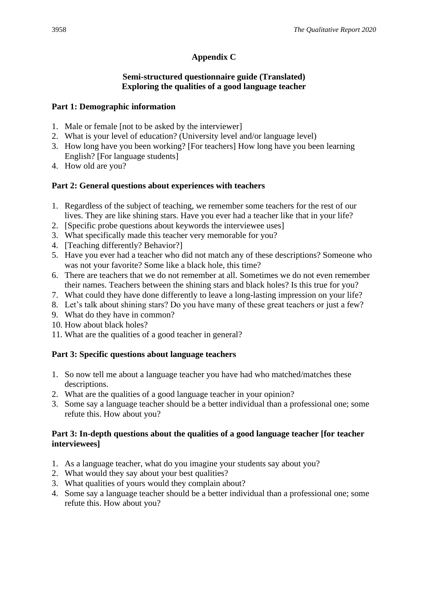## **Appendix C**

### **Semi-structured questionnaire guide (Translated) Exploring the qualities of a good language teacher**

## **Part 1: Demographic information**

- 1. Male or female [not to be asked by the interviewer]
- 2. What is your level of education? (University level and/or language level)
- 3. How long have you been working? [For teachers] How long have you been learning English? [For language students]
- 4. How old are you?

## **Part 2: General questions about experiences with teachers**

- 1. Regardless of the subject of teaching, we remember some teachers for the rest of our lives. They are like shining stars. Have you ever had a teacher like that in your life?
- 2. [Specific probe questions about keywords the interviewee uses]
- 3. What specifically made this teacher very memorable for you?
- 4. [Teaching differently? Behavior?]
- 5. Have you ever had a teacher who did not match any of these descriptions? Someone who was not your favorite? Some like a black hole, this time?
- 6. There are teachers that we do not remember at all. Sometimes we do not even remember their names. Teachers between the shining stars and black holes? Is this true for you?
- 7. What could they have done differently to leave a long-lasting impression on your life?
- 8. Let's talk about shining stars? Do you have many of these great teachers or just a few?
- 9. What do they have in common?
- 10. How about black holes?
- 11. What are the qualities of a good teacher in general?

## **Part 3: Specific questions about language teachers**

- 1. So now tell me about a language teacher you have had who matched/matches these descriptions.
- 2. What are the qualities of a good language teacher in your opinion?
- 3. Some say a language teacher should be a better individual than a professional one; some refute this. How about you?

### **Part 3: In-depth questions about the qualities of a good language teacher [for teacher interviewees]**

- 1. As a language teacher, what do you imagine your students say about you?
- 2. What would they say about your best qualities?
- 3. What qualities of yours would they complain about?
- 4. Some say a language teacher should be a better individual than a professional one; some refute this. How about you?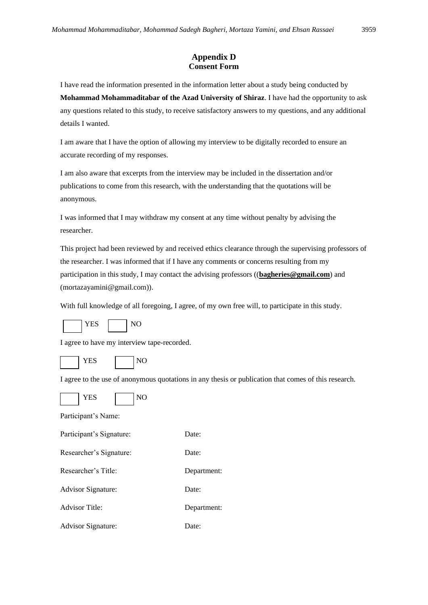#### **Appendix D Consent Form**

I have read the information presented in the information letter about a study being conducted by **Mohammad Mohammaditabar of the Azad University of Shiraz**. I have had the opportunity to ask any questions related to this study, to receive satisfactory answers to my questions, and any additional details I wanted.

I am aware that I have the option of allowing my interview to be digitally recorded to ensure an accurate recording of my responses.

I am also aware that excerpts from the interview may be included in the dissertation and/or publications to come from this research, with the understanding that the quotations will be anonymous.

I was informed that I may withdraw my consent at any time without penalty by advising the researcher.

This project had been reviewed by and received ethics clearance through the supervising professors of the researcher. I was informed that if I have any comments or concerns resulting from my participation in this study, I may contact the advising professors ((**bagheries@gmail.com**) and (mortazayamini@gmail.com)).

With full knowledge of all foregoing, I agree, of my own free will, to participate in this study.



I agree to have my interview tape-recorded.



I agree to the use of anonymous quotations in any thesis or publication that comes of this research.



Participant's Name:

| Participant's Signature:  | Date:       |
|---------------------------|-------------|
| Researcher's Signature:   | Date:       |
| Researcher's Title:       | Department: |
| <b>Advisor Signature:</b> | Date:       |
| <b>Advisor Title:</b>     | Department: |
| <b>Advisor Signature:</b> | Date:       |